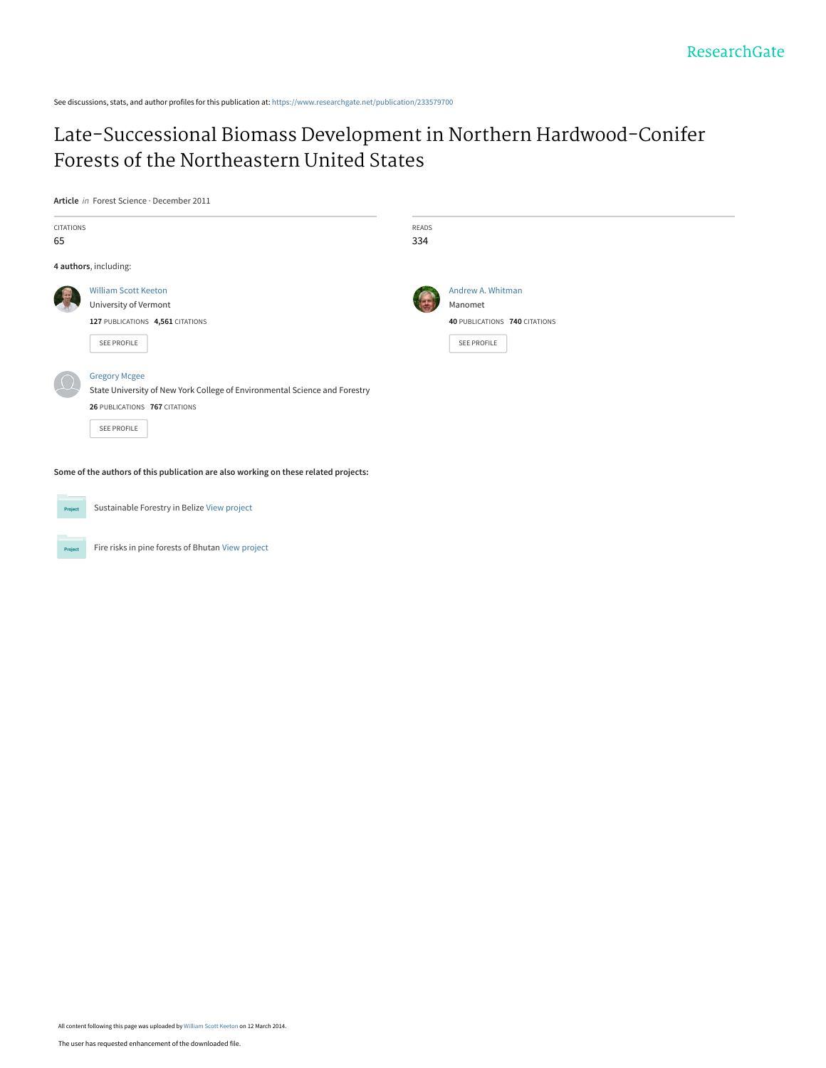See discussions, stats, and author profiles for this publication at: [https://www.researchgate.net/publication/233579700](https://www.researchgate.net/publication/233579700_Late-Successional_Biomass_Development_in_Northern_Hardwood-Conifer_Forests_of_the_Northeastern_United_States?enrichId=rgreq-860b2fd78d083a1965662de1dbe03224-XXX&enrichSource=Y292ZXJQYWdlOzIzMzU3OTcwMDtBUzoxMDQ0Mzc2NTc4OTkwMTJAMTQwMTkxMTI4NjQzMw%3D%3D&el=1_x_2&_esc=publicationCoverPdf)

# [Late-Successional Biomass Development in Northern Hardwood-Conifer](https://www.researchgate.net/publication/233579700_Late-Successional_Biomass_Development_in_Northern_Hardwood-Conifer_Forests_of_the_Northeastern_United_States?enrichId=rgreq-860b2fd78d083a1965662de1dbe03224-XXX&enrichSource=Y292ZXJQYWdlOzIzMzU3OTcwMDtBUzoxMDQ0Mzc2NTc4OTkwMTJAMTQwMTkxMTI4NjQzMw%3D%3D&el=1_x_3&_esc=publicationCoverPdf) Forests of the Northeastern United States

**Article** in Forest Science · December 2011

| CITATIONS<br>65 |                                                                                                                                                    | READS<br>334 |                                                                                     |
|-----------------|----------------------------------------------------------------------------------------------------------------------------------------------------|--------------|-------------------------------------------------------------------------------------|
|                 | 4 authors, including:                                                                                                                              |              |                                                                                     |
|                 | <b>William Scott Keeton</b><br>University of Vermont<br>127 PUBLICATIONS 4,561 CITATIONS<br>SEE PROFILE                                            |              | Andrew A. Whitman<br>Manomet<br>40 PUBLICATIONS 740 CITATIONS<br><b>SEE PROFILE</b> |
|                 | <b>Gregory Mcgee</b><br>State University of New York College of Environmental Science and Forestry<br>26 PUBLICATIONS 767 CITATIONS<br>SEE PROFILE |              |                                                                                     |

**Some of the authors of this publication are also working on these related projects:**



Project

Sustainable Forestry in Belize [View project](https://www.researchgate.net/project/Sustainable-Forestry-in-Belize?enrichId=rgreq-860b2fd78d083a1965662de1dbe03224-XXX&enrichSource=Y292ZXJQYWdlOzIzMzU3OTcwMDtBUzoxMDQ0Mzc2NTc4OTkwMTJAMTQwMTkxMTI4NjQzMw%3D%3D&el=1_x_9&_esc=publicationCoverPdf)

Fire risks in pine forests of Bhutan [View project](https://www.researchgate.net/project/Fire-risks-in-pine-forests-of-Bhutan?enrichId=rgreq-860b2fd78d083a1965662de1dbe03224-XXX&enrichSource=Y292ZXJQYWdlOzIzMzU3OTcwMDtBUzoxMDQ0Mzc2NTc4OTkwMTJAMTQwMTkxMTI4NjQzMw%3D%3D&el=1_x_9&_esc=publicationCoverPdf)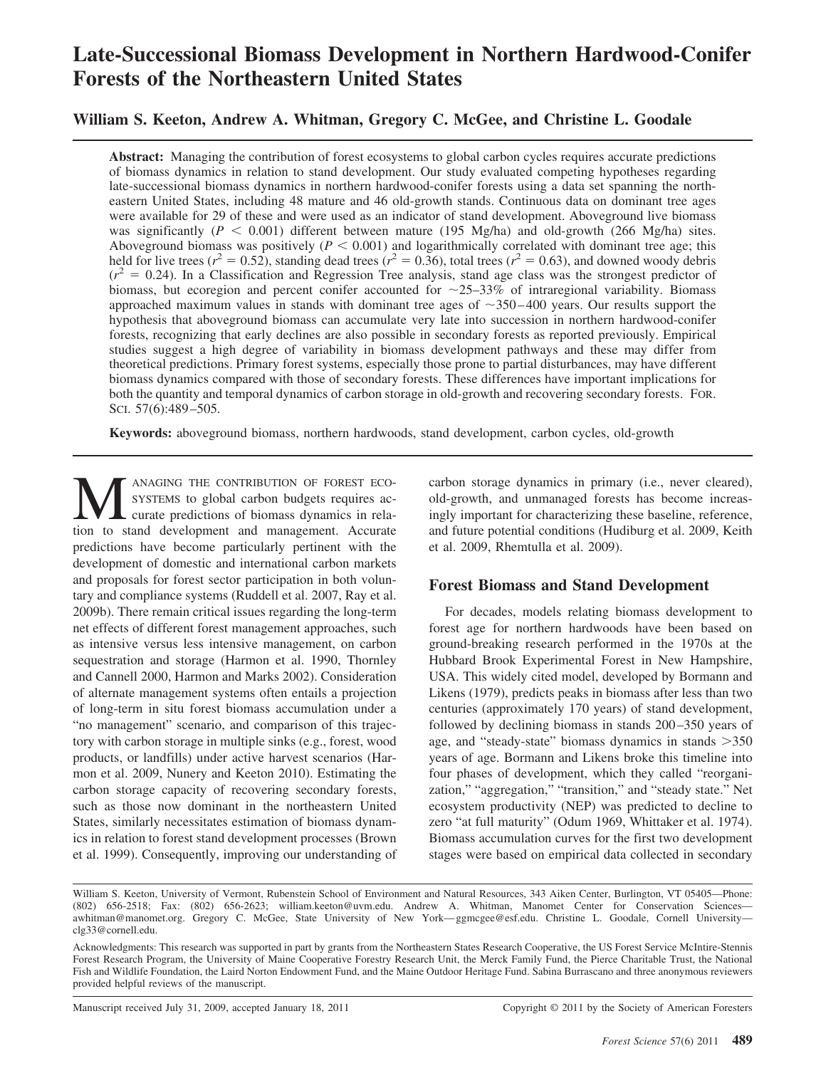# **Late-Successional Biomass Development in Northern Hardwood-Conifer Forests of the Northeastern United States**

## **William S. Keeton, Andrew A. Whitman, Gregory C. McGee, and Christine L. Goodale**

**Abstract:** Managing the contribution of forest ecosystems to global carbon cycles requires accurate predictions of biomass dynamics in relation to stand development. Our study evaluated competing hypotheses regarding late-successional biomass dynamics in northern hardwood-conifer forests using a data set spanning the northeastern United States, including 48 mature and 46 old-growth stands. Continuous data on dominant tree ages were available for 29 of these and were used as an indicator of stand development. Aboveground live biomass was significantly  $(P < 0.001)$  different between mature (195 Mg/ha) and old-growth (266 Mg/ha) sites. Aboveground biomass was positively ( $P < 0.001$ ) and logarithmically correlated with dominant tree age; this held for live trees ( $r^2 = 0.52$ ), standing dead trees ( $r^2 = 0.36$ ), total trees ( $r^2 = 0.63$ ), and downed woody debris  $(r^2 = 0.24)$ . In a Classification and Regression Tree analysis, stand age class was the strongest predictor of biomass, but ecoregion and percent conifer accounted for  $\sim$ 25–33% of intraregional variability. Biomass approached maximum values in stands with dominant tree ages of  $\sim$ 350–400 years. Our results support the hypothesis that aboveground biomass can accumulate very late into succession in northern hardwood-conifer forests, recognizing that early declines are also possible in secondary forests as reported previously. Empirical studies suggest a high degree of variability in biomass development pathways and these may differ from theoretical predictions. Primary forest systems, especially those prone to partial disturbances, may have different biomass dynamics compared with those of secondary forests. These differences have important implications for both the quantity and temporal dynamics of carbon storage in old-growth and recovering secondary forests. FOR. SCI. 57(6):489-505.

**Keywords:** aboveground biomass, northern hardwoods, stand development, carbon cycles, old-growth

MANAGING THE CONTRIBUTION OF FOREST ECO-SYSTEMS to global carbon budgets requires accurate predictions of biomass dynamics in relation to stand development and management. Accurate predictions have become particularly pertinent with the development of domestic and international carbon markets and proposals for forest sector participation in both voluntary and compliance systems (Ruddell et al. 2007, Ray et al. 2009b). There remain critical issues regarding the long-term net effects of different forest management approaches, such as intensive versus less intensive management, on carbon sequestration and storage (Harmon et al. 1990, Thornley and Cannell 2000, Harmon and Marks 2002). Consideration of alternate management systems often entails a projection of long-term in situ forest biomass accumulation under a "no management" scenario, and comparison of this trajectory with carbon storage in multiple sinks (e.g., forest, wood products, or landfills) under active harvest scenarios (Harmon et al. 2009, Nunery and Keeton 2010). Estimating the carbon storage capacity of recovering secondary forests, such as those now dominant in the northeastern United States, similarly necessitates estimation of biomass dynamics in relation to forest stand development processes (Brown et al. 1999). Consequently, improving our understanding of

carbon storage dynamics in primary (i.e., never cleared), old-growth, and unmanaged forests has become increasingly important for characterizing these baseline, reference, and future potential conditions (Hudiburg et al. 2009, Keith et al. 2009, Rhemtulla et al. 2009).

## **Forest Biomass and Stand Development**

For decades, models relating biomass development to forest age for northern hardwoods have been based on ground-breaking research performed in the 1970s at the Hubbard Brook Experimental Forest in New Hampshire, USA. This widely cited model, developed by Bormann and Likens (1979), predicts peaks in biomass after less than two centuries (approximately 170 years) of stand development, followed by declining biomass in stands 200–350 years of age, and "steady-state" biomass dynamics in stands > 350 years of age. Bormann and Likens broke this timeline into four phases of development, which they called "reorganization," "aggregation," "transition," and "steady state." Net ecosystem productivity (NEP) was predicted to decline to zero "at full maturity" (Odum 1969, Whittaker et al. 1974). Biomass accumulation curves for the first two development stages were based on empirical data collected in secondary

Manuscript received July 31, 2009, accepted January 18, 2011 Copyright © 2011 by the Society of American Foresters

William S. Keeton, University of Vermont, Rubenstein School of Environment and Natural Resources, 343 Aiken Center, Burlington, VT 05405—Phone: (802) 656-2518; Fax: (802) 656-2623; william.keeton@uvm.edu. Andrew A. Whitman, Manomet Center for Conservation Sciences awhitman@manomet.org. Gregory C. McGee, State University of New York— ggmcgee@esf.edu. Christine L. Goodale, Cornell University clg33@cornell.edu.

Acknowledgments: This research was supported in part by grants from the Northeastern States Research Cooperative, the US Forest Service McIntire-Stennis Forest Research Program, the University of Maine Cooperative Forestry Research Unit, the Merck Family Fund, the Pierce Charitable Trust, the National Fish and Wildlife Foundation, the Laird Norton Endowment Fund, and the Maine Outdoor Heritage Fund. Sabina Burrascano and three anonymous reviewers provided helpful reviews of the manuscript.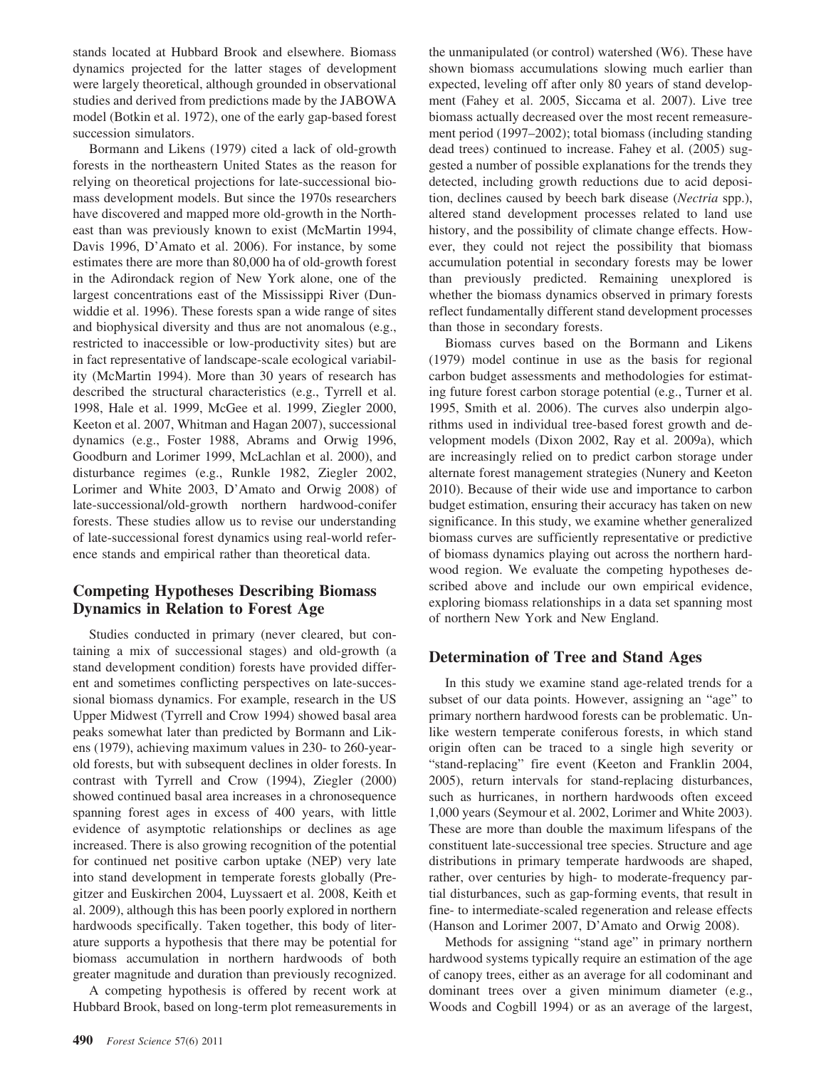stands located at Hubbard Brook and elsewhere. Biomass dynamics projected for the latter stages of development were largely theoretical, although grounded in observational studies and derived from predictions made by the JABOWA model (Botkin et al. 1972), one of the early gap-based forest succession simulators.

Bormann and Likens (1979) cited a lack of old-growth forests in the northeastern United States as the reason for relying on theoretical projections for late-successional biomass development models. But since the 1970s researchers have discovered and mapped more old-growth in the Northeast than was previously known to exist (McMartin 1994, Davis 1996, D'Amato et al. 2006). For instance, by some estimates there are more than 80,000 ha of old-growth forest in the Adirondack region of New York alone, one of the largest concentrations east of the Mississippi River (Dunwiddie et al. 1996). These forests span a wide range of sites and biophysical diversity and thus are not anomalous (e.g., restricted to inaccessible or low-productivity sites) but are in fact representative of landscape-scale ecological variability (McMartin 1994). More than 30 years of research has described the structural characteristics (e.g., Tyrrell et al. 1998, Hale et al. 1999, McGee et al. 1999, Ziegler 2000, Keeton et al. 2007, Whitman and Hagan 2007), successional dynamics (e.g., Foster 1988, Abrams and Orwig 1996, Goodburn and Lorimer 1999, McLachlan et al. 2000), and disturbance regimes (e.g., Runkle 1982, Ziegler 2002, Lorimer and White 2003, D'Amato and Orwig 2008) of late-successional/old-growth northern hardwood-conifer forests. These studies allow us to revise our understanding of late-successional forest dynamics using real-world reference stands and empirical rather than theoretical data.

## **Competing Hypotheses Describing Biomass Dynamics in Relation to Forest Age**

Studies conducted in primary (never cleared, but containing a mix of successional stages) and old-growth (a stand development condition) forests have provided different and sometimes conflicting perspectives on late-successional biomass dynamics. For example, research in the US Upper Midwest (Tyrrell and Crow 1994) showed basal area peaks somewhat later than predicted by Bormann and Likens (1979), achieving maximum values in 230- to 260-yearold forests, but with subsequent declines in older forests. In contrast with Tyrrell and Crow (1994), Ziegler (2000) showed continued basal area increases in a chronosequence spanning forest ages in excess of 400 years, with little evidence of asymptotic relationships or declines as age increased. There is also growing recognition of the potential for continued net positive carbon uptake (NEP) very late into stand development in temperate forests globally (Pregitzer and Euskirchen 2004, Luyssaert et al. 2008, Keith et al. 2009), although this has been poorly explored in northern hardwoods specifically. Taken together, this body of literature supports a hypothesis that there may be potential for biomass accumulation in northern hardwoods of both greater magnitude and duration than previously recognized.

A competing hypothesis is offered by recent work at Hubbard Brook, based on long-term plot remeasurements in

the unmanipulated (or control) watershed (W6). These have shown biomass accumulations slowing much earlier than expected, leveling off after only 80 years of stand development (Fahey et al. 2005, Siccama et al. 2007). Live tree biomass actually decreased over the most recent remeasurement period (1997–2002); total biomass (including standing dead trees) continued to increase. Fahey et al. (2005) suggested a number of possible explanations for the trends they detected, including growth reductions due to acid deposition, declines caused by beech bark disease (*Nectria* spp.), altered stand development processes related to land use history, and the possibility of climate change effects. However, they could not reject the possibility that biomass accumulation potential in secondary forests may be lower than previously predicted. Remaining unexplored is whether the biomass dynamics observed in primary forests reflect fundamentally different stand development processes than those in secondary forests.

Biomass curves based on the Bormann and Likens (1979) model continue in use as the basis for regional carbon budget assessments and methodologies for estimating future forest carbon storage potential (e.g., Turner et al. 1995, Smith et al. 2006). The curves also underpin algorithms used in individual tree-based forest growth and development models (Dixon 2002, Ray et al. 2009a), which are increasingly relied on to predict carbon storage under alternate forest management strategies (Nunery and Keeton 2010). Because of their wide use and importance to carbon budget estimation, ensuring their accuracy has taken on new significance. In this study, we examine whether generalized biomass curves are sufficiently representative or predictive of biomass dynamics playing out across the northern hardwood region. We evaluate the competing hypotheses described above and include our own empirical evidence, exploring biomass relationships in a data set spanning most of northern New York and New England.

## **Determination of Tree and Stand Ages**

In this study we examine stand age-related trends for a subset of our data points. However, assigning an "age" to primary northern hardwood forests can be problematic. Unlike western temperate coniferous forests, in which stand origin often can be traced to a single high severity or "stand-replacing" fire event (Keeton and Franklin 2004, 2005), return intervals for stand-replacing disturbances, such as hurricanes, in northern hardwoods often exceed 1,000 years (Seymour et al. 2002, Lorimer and White 2003). These are more than double the maximum lifespans of the constituent late-successional tree species. Structure and age distributions in primary temperate hardwoods are shaped, rather, over centuries by high- to moderate-frequency partial disturbances, such as gap-forming events, that result in fine- to intermediate-scaled regeneration and release effects (Hanson and Lorimer 2007, D'Amato and Orwig 2008).

Methods for assigning "stand age" in primary northern hardwood systems typically require an estimation of the age of canopy trees, either as an average for all codominant and dominant trees over a given minimum diameter (e.g., Woods and Cogbill 1994) or as an average of the largest,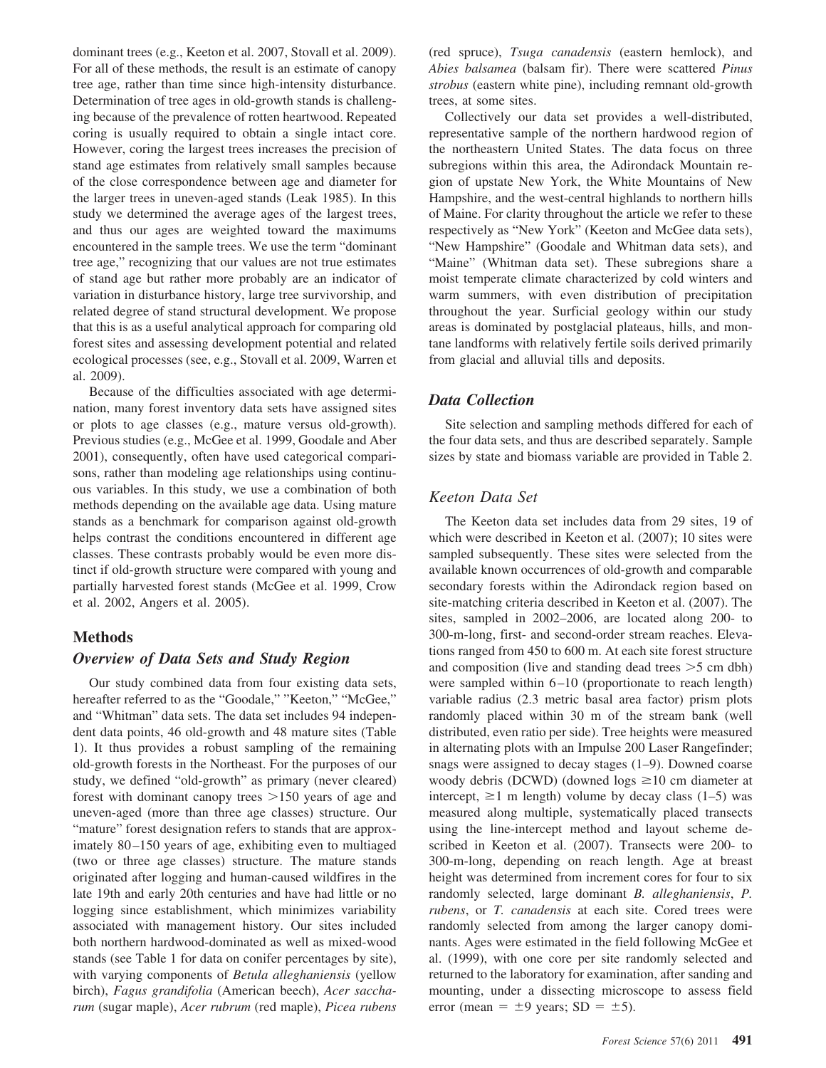dominant trees (e.g., Keeton et al. 2007, Stovall et al. 2009). For all of these methods, the result is an estimate of canopy tree age, rather than time since high-intensity disturbance. Determination of tree ages in old-growth stands is challenging because of the prevalence of rotten heartwood. Repeated coring is usually required to obtain a single intact core. However, coring the largest trees increases the precision of stand age estimates from relatively small samples because of the close correspondence between age and diameter for the larger trees in uneven-aged stands (Leak 1985). In this study we determined the average ages of the largest trees, and thus our ages are weighted toward the maximums encountered in the sample trees. We use the term "dominant tree age," recognizing that our values are not true estimates of stand age but rather more probably are an indicator of variation in disturbance history, large tree survivorship, and related degree of stand structural development. We propose that this is as a useful analytical approach for comparing old forest sites and assessing development potential and related ecological processes (see, e.g., Stovall et al. 2009, Warren et al. 2009).

Because of the difficulties associated with age determination, many forest inventory data sets have assigned sites or plots to age classes (e.g., mature versus old-growth). Previous studies (e.g., McGee et al. 1999, Goodale and Aber 2001), consequently, often have used categorical comparisons, rather than modeling age relationships using continuous variables. In this study, we use a combination of both methods depending on the available age data. Using mature stands as a benchmark for comparison against old-growth helps contrast the conditions encountered in different age classes. These contrasts probably would be even more distinct if old-growth structure were compared with young and partially harvested forest stands (McGee et al. 1999, Crow et al. 2002, Angers et al. 2005).

#### **Methods**

#### *Overview of Data Sets and Study Region*

Our study combined data from four existing data sets, hereafter referred to as the "Goodale," "Keeton," "McGee," and "Whitman" data sets. The data set includes 94 independent data points, 46 old-growth and 48 mature sites (Table 1). It thus provides a robust sampling of the remaining old-growth forests in the Northeast. For the purposes of our study, we defined "old-growth" as primary (never cleared) forest with dominant canopy trees  $>150$  years of age and uneven-aged (more than three age classes) structure. Our "mature" forest designation refers to stands that are approximately 80-150 years of age, exhibiting even to multiaged (two or three age classes) structure. The mature stands originated after logging and human-caused wildfires in the late 19th and early 20th centuries and have had little or no logging since establishment, which minimizes variability associated with management history. Our sites included both northern hardwood-dominated as well as mixed-wood stands (see Table 1 for data on conifer percentages by site), with varying components of *Betula alleghaniensis* (yellow birch), *Fagus grandifolia* (American beech), *Acer saccharum* (sugar maple), *Acer rubrum* (red maple), *Picea rubens*

(red spruce), *Tsuga canadensis* (eastern hemlock), and *Abies balsamea* (balsam fir). There were scattered *Pinus strobus* (eastern white pine), including remnant old-growth trees, at some sites.

Collectively our data set provides a well-distributed, representative sample of the northern hardwood region of the northeastern United States. The data focus on three subregions within this area, the Adirondack Mountain region of upstate New York, the White Mountains of New Hampshire, and the west-central highlands to northern hills of Maine. For clarity throughout the article we refer to these respectively as "New York" (Keeton and McGee data sets), "New Hampshire" (Goodale and Whitman data sets), and "Maine" (Whitman data set). These subregions share a moist temperate climate characterized by cold winters and warm summers, with even distribution of precipitation throughout the year. Surficial geology within our study areas is dominated by postglacial plateaus, hills, and montane landforms with relatively fertile soils derived primarily from glacial and alluvial tills and deposits.

## *Data Collection*

Site selection and sampling methods differed for each of the four data sets, and thus are described separately. Sample sizes by state and biomass variable are provided in Table 2.

## *Keeton Data Set*

The Keeton data set includes data from 29 sites, 19 of which were described in Keeton et al. (2007); 10 sites were sampled subsequently. These sites were selected from the available known occurrences of old-growth and comparable secondary forests within the Adirondack region based on site-matching criteria described in Keeton et al. (2007). The sites, sampled in 2002–2006, are located along 200- to 300-m-long, first- and second-order stream reaches. Elevations ranged from 450 to 600 m. At each site forest structure and composition (live and standing dead trees  $>5$  cm dbh) were sampled within 6-10 (proportionate to reach length) variable radius (2.3 metric basal area factor) prism plots randomly placed within 30 m of the stream bank (well distributed, even ratio per side). Tree heights were measured in alternating plots with an Impulse 200 Laser Rangefinder; snags were assigned to decay stages (1–9). Downed coarse woody debris (DCWD) (downed logs  $\geq 10$  cm diameter at intercept,  $\geq 1$  m length) volume by decay class (1–5) was measured along multiple, systematically placed transects using the line-intercept method and layout scheme described in Keeton et al. (2007). Transects were 200- to 300-m-long, depending on reach length. Age at breast height was determined from increment cores for four to six randomly selected, large dominant *B. alleghaniensis*, *P. rubens*, or *T. canadensis* at each site. Cored trees were randomly selected from among the larger canopy dominants. Ages were estimated in the field following McGee et al. (1999), with one core per site randomly selected and returned to the laboratory for examination, after sanding and mounting, under a dissecting microscope to assess field error (mean  $= \pm 9$  years; SD  $= \pm 5$ ).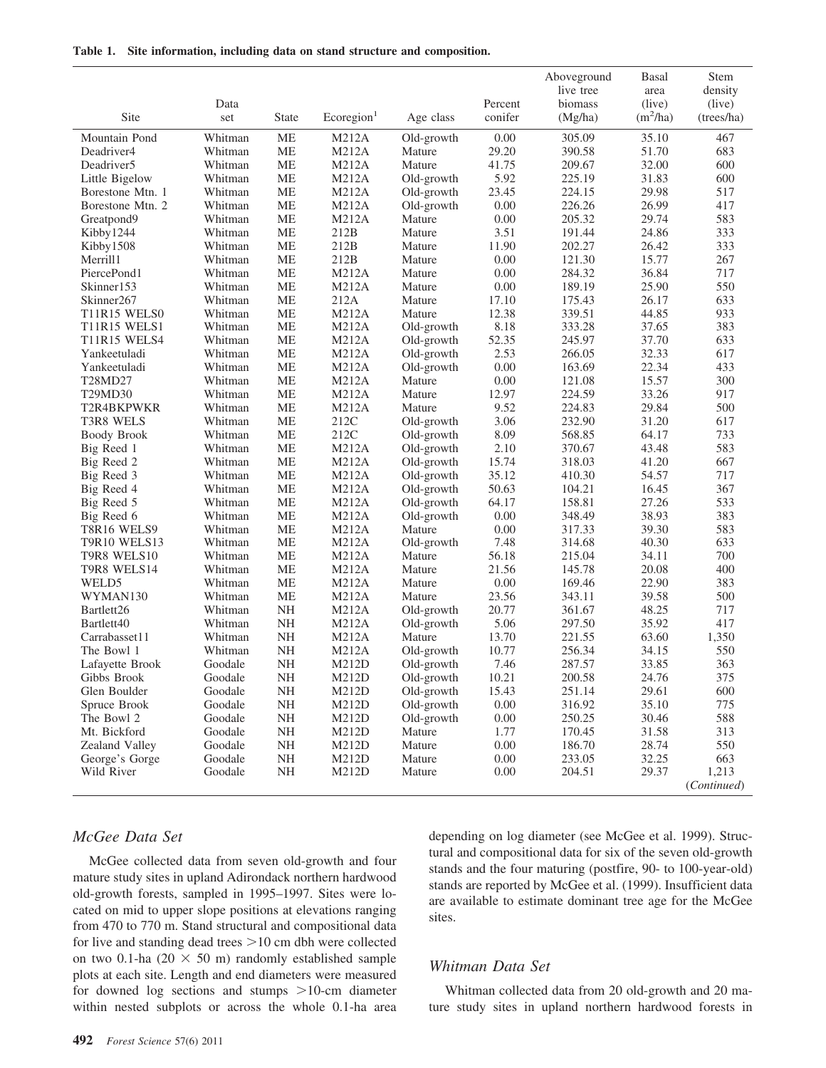|  |  | Table 1. Site information, including data on stand structure and composition. |  |  |  |  |  |  |
|--|--|-------------------------------------------------------------------------------|--|--|--|--|--|--|
|--|--|-------------------------------------------------------------------------------|--|--|--|--|--|--|

|                                  |         |           |                        |            |          | Aboveground | Basal      | Stem                 |
|----------------------------------|---------|-----------|------------------------|------------|----------|-------------|------------|----------------------|
|                                  |         |           |                        |            |          | live tree   | area       | density              |
|                                  | Data    |           |                        |            | Percent  | biomass     | (live)     | (live)               |
| Site                             | set     | State     | Ecoregion <sup>1</sup> | Age class  | conifer  | (Mg/ha)     | $(m^2/ha)$ | (trees/ha)           |
| Mountain Pond                    | Whitman | <b>ME</b> | M212A                  | Old-growth | 0.00     | 305.09      | 35.10      | 467                  |
| Deadriver4                       | Whitman | МE        | M212A                  | Mature     | 29.20    | 390.58      | 51.70      | 683                  |
| Deadriver <sub>5</sub>           | Whitman | <b>ME</b> | M212A                  | Mature     | 41.75    | 209.67      | 32.00      | 600                  |
| Little Bigelow                   | Whitman | <b>ME</b> | M212A                  | Old-growth | 5.92     | 225.19      | 31.83      | 600                  |
| Borestone Mtn. 1                 | Whitman | MЕ        | M212A                  | Old-growth | 23.45    | 224.15      | 29.98      | 517                  |
| Borestone Mtn. 2                 | Whitman | <b>ME</b> | M212A                  | Old-growth | 0.00     | 226.26      | 26.99      | 417                  |
| Greatpond9                       | Whitman | <b>ME</b> | M212A                  | Mature     | 0.00     | 205.32      | 29.74      | 583                  |
| Kibby1244                        | Whitman | МE        | 212B                   | Mature     | 3.51     | 191.44      | 24.86      | 333                  |
| Kibby1508                        | Whitman | <b>ME</b> | 212B                   | Mature     | 11.90    | 202.27      | 26.42      | 333                  |
| Merrill1                         | Whitman | <b>ME</b> | 212B                   | Mature     | 0.00     | 121.30      | 15.77      | 267                  |
| PiercePond1                      | Whitman | МE        | M212A                  | Mature     | 0.00     | 284.32      | 36.84      | 717                  |
| Skinner153                       | Whitman | <b>ME</b> | <b>M212A</b>           | Mature     | 0.00     | 189.19      | 25.90      | 550                  |
| Skinner <sub>267</sub>           | Whitman | <b>ME</b> | 212A                   | Mature     | 17.10    | 175.43      | 26.17      | 633                  |
| T11R15 WELS0                     | Whitman | MЕ        | M212A                  | Mature     | 12.38    | 339.51      | 44.85      | 933                  |
| <b>T11R15 WELS1</b>              | Whitman | <b>ME</b> | <b>M212A</b>           | Old-growth | 8.18     | 333.28      | 37.65      | 383                  |
| T11R15 WELS4                     | Whitman | <b>ME</b> | M212A                  | Old-growth | 52.35    | 245.97      | 37.70      | 633                  |
| Yankeetuladi                     | Whitman | MЕ        | M212A                  | Old-growth | 2.53     | 266.05      | 32.33      | 617                  |
| Yankeetuladi                     | Whitman | <b>ME</b> | M212A                  | Old-growth | 0.00     | 163.69      | 22.34      | 433                  |
| T <sub>28</sub> MD <sub>27</sub> | Whitman | <b>ME</b> | <b>M212A</b>           | Mature     | 0.00     | 121.08      | 15.57      | 300                  |
| T29MD30                          | Whitman | МE        | M212A                  | Mature     | 12.97    | 224.59      | 33.26      | 917                  |
| T2R4BKPWKR                       | Whitman | <b>ME</b> | M212A                  | Mature     | 9.52     | 224.83      | 29.84      | 500                  |
| T3R8 WELS                        | Whitman | <b>ME</b> | 212C                   | Old-growth | 3.06     | 232.90      | 31.20      | 617                  |
| <b>Boody Brook</b>               | Whitman | MЕ        | 212C                   | Old-growth | 8.09     | 568.85      | 64.17      | 733                  |
| Big Reed 1                       | Whitman | <b>ME</b> | <b>M212A</b>           | Old-growth | 2.10     | 370.67      | 43.48      | 583                  |
| Big Reed 2                       | Whitman | <b>ME</b> | M212A                  | Old-growth | 15.74    | 318.03      | 41.20      | 667                  |
| Big Reed 3                       | Whitman | МE        | M212A                  | Old-growth | 35.12    | 410.30      | 54.57      | 717                  |
| Big Reed 4                       | Whitman | <b>ME</b> | <b>M212A</b>           | Old-growth | 50.63    | 104.21      | 16.45      | 367                  |
| Big Reed 5                       | Whitman | МE        | M212A                  | Old-growth | 64.17    | 158.81      | 27.26      | 533                  |
| Big Reed 6                       | Whitman | MЕ        | M212A                  | Old-growth | 0.00     | 348.49      | 38.93      | 383                  |
| T8R16 WELS9                      | Whitman | <b>ME</b> | M212A                  | Mature     | 0.00     | 317.33      | 39.30      | 583                  |
| T9R10 WELS13                     | Whitman | <b>ME</b> | M212A                  | Old-growth | 7.48     | 314.68      | 40.30      | 633                  |
| T9R8 WELS10                      | Whitman | MЕ        | M212A                  | Mature     | 56.18    | 215.04      | 34.11      | 700                  |
| T9R8 WELS14                      | Whitman | <b>ME</b> | M212A                  | Mature     | 21.56    | 145.78      | 20.08      | 400                  |
| WELD <sub>5</sub>                | Whitman | <b>ME</b> | M212A                  | Mature     | 0.00     | 169.46      | 22.90      | 383                  |
| WYMAN130                         | Whitman | MЕ        | M212A                  | Mature     | 23.56    | 343.11      | 39.58      | 500                  |
| Bartlett26                       | Whitman | <b>NH</b> | M212A                  | Old-growth | 20.77    | 361.67      | 48.25      | 717                  |
| Bartlett <sub>40</sub>           | Whitman | <b>NH</b> | M212A                  | Old-growth | 5.06     | 297.50      | 35.92      | 417                  |
| Carrabasset11                    | Whitman | NH        | <b>M212A</b>           | Mature     | 13.70    | 221.55      | 63.60      | 1,350                |
| The Bowl 1                       | Whitman | <b>NH</b> | <b>M212A</b>           | Old-growth | 10.77    | 256.34      | 34.15      | 550                  |
| Lafayette Brook                  | Goodale | NΗ        | M212D                  | Old-growth | 7.46     | 287.57      | 33.85      | 363                  |
| Gibbs Brook                      | Goodale | NH        | M212D                  | Old-growth | 10.21    | 200.58      | 24.76      | 375                  |
| Glen Boulder                     | Goodale | NH        | M212D                  | Old-growth | 15.43    | 251.14      | 29.61      | 600                  |
| Spruce Brook                     | Goodale | NH        | M212D                  | Old-growth | 0.00     | 316.92      | 35.10      | 775                  |
| The Bowl 2                       | Goodale | NH        | M212D                  | Old-growth | 0.00     | 250.25      | 30.46      | 588                  |
| Mt. Bickford                     | Goodale | NH        | M212D                  | Mature     | 1.77     | 170.45      | 31.58      | 313                  |
| Zealand Valley                   | Goodale | NH        | M212D                  | Mature     | $0.00\,$ | 186.70      | 28.74      | 550                  |
| George's Gorge                   | Goodale | NH        | M212D                  | Mature     | $0.00\,$ | 233.05      | 32.25      | 663                  |
| Wild River                       | Goodale | NH        | M212D                  | Mature     | 0.00     | 204.51      | 29.37      | 1,213<br>(Continued) |

## *McGee Data Set*

McGee collected data from seven old-growth and four mature study sites in upland Adirondack northern hardwood old-growth forests, sampled in 1995–1997. Sites were located on mid to upper slope positions at elevations ranging from 470 to 770 m. Stand structural and compositional data for live and standing dead trees  $>10$  cm dbh were collected on two 0.1-ha (20  $\times$  50 m) randomly established sample plots at each site. Length and end diameters were measured for downed log sections and stumps  $>10$ -cm diameter within nested subplots or across the whole 0.1-ha area depending on log diameter (see McGee et al. 1999). Structural and compositional data for six of the seven old-growth stands and the four maturing (postfire, 90- to 100-year-old) stands are reported by McGee et al. (1999). Insufficient data are available to estimate dominant tree age for the McGee sites.

## *Whitman Data Set*

Whitman collected data from 20 old-growth and 20 mature study sites in upland northern hardwood forests in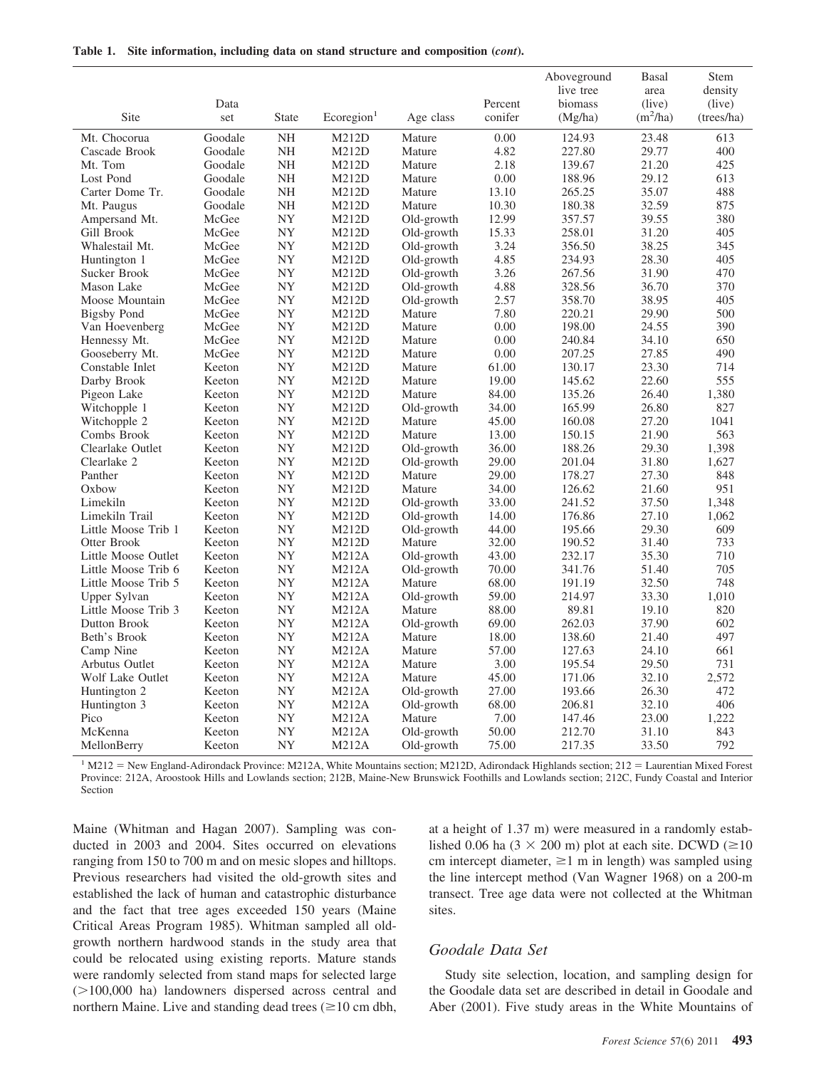|  | Table 1. Site information, including data on stand structure and composition (cont). |  |  |  |  |
|--|--------------------------------------------------------------------------------------|--|--|--|--|
|--|--------------------------------------------------------------------------------------|--|--|--|--|

|                     |         |              |                        |            |         | Aboveground | Basal      | Stem       |
|---------------------|---------|--------------|------------------------|------------|---------|-------------|------------|------------|
|                     |         |              |                        |            |         | live tree   | area       | density    |
|                     | Data    |              |                        |            | Percent | biomass     | (live)     | (live)     |
| Site                | set     | <b>State</b> | Ecoregion <sup>1</sup> | Age class  | conifer | (Mg/ha)     | $(m^2/ha)$ | (trees/ha) |
| Mt. Chocorua        | Goodale | <b>NH</b>    | M212D                  | Mature     | 0.00    | 124.93      | 23.48      | 613        |
| Cascade Brook       | Goodale | NH           | M212D                  | Mature     | 4.82    | 227.80      | 29.77      | 400        |
| Mt. Tom             | Goodale | NH           | M212D                  | Mature     | 2.18    | 139.67      | 21.20      | 425        |
| Lost Pond           | Goodale | NH           | M212D                  | Mature     | 0.00    | 188.96      | 29.12      | 613        |
| Carter Dome Tr.     | Goodale | NH           | M212D                  | Mature     | 13.10   | 265.25      | 35.07      | 488        |
| Mt. Paugus          | Goodale | NH           | M212D                  | Mature     | 10.30   | 180.38      | 32.59      | 875        |
| Ampersand Mt.       | McGee   | <b>NY</b>    | M212D                  | Old-growth | 12.99   | 357.57      | 39.55      | 380        |
| Gill Brook          | McGee   | <b>NY</b>    | M212D                  | Old-growth | 15.33   | 258.01      | 31.20      | 405        |
| Whalestail Mt.      | McGee   | NY           | M212D                  | Old-growth | 3.24    | 356.50      | 38.25      | 345        |
| Huntington 1        | McGee   | NY           | M212D                  | Old-growth | 4.85    | 234.93      | 28.30      | 405        |
| Sucker Brook        | McGee   | NY           | M212D                  | Old-growth | 3.26    | 267.56      | 31.90      | 470        |
| Mason Lake          | McGee   | <b>NY</b>    | M212D                  | Old-growth | 4.88    | 328.56      | 36.70      | 370        |
| Moose Mountain      | McGee   | NY           | M212D                  | Old-growth | 2.57    | 358.70      | 38.95      | 405        |
| Bigsby Pond         | McGee   | NY           | M212D                  | Mature     | 7.80    | 220.21      | 29.90      | 500        |
| Van Hoevenberg      | McGee   | NY           | M212D                  | Mature     | 0.00    | 198.00      | 24.55      | 390        |
| Hennessy Mt.        | McGee   | NY           | M212D                  | Mature     | 0.00    | 240.84      | 34.10      | 650        |
| Gooseberry Mt.      | McGee   | <b>NY</b>    | M212D                  | Mature     | 0.00    | 207.25      | 27.85      | 490        |
| Constable Inlet     | Keeton  | <b>NY</b>    | M212D                  | Mature     | 61.00   | 130.17      | 23.30      | 714        |
| Darby Brook         | Keeton  | <b>NY</b>    | M212D                  | Mature     | 19.00   | 145.62      | 22.60      | 555        |
| Pigeon Lake         | Keeton  | <b>NY</b>    | M212D                  | Mature     | 84.00   | 135.26      | 26.40      | 1,380      |
| Witchopple 1        | Keeton  | NY           | M212D                  | Old-growth | 34.00   | 165.99      | 26.80      | 827        |
| Witchopple 2        | Keeton  | NY           | M212D                  | Mature     | 45.00   | 160.08      | 27.20      | 1041       |
| Combs Brook         | Keeton  | NY           | M212D                  | Mature     | 13.00   | 150.15      | 21.90      | 563        |
| Clearlake Outlet    | Keeton  | <b>NY</b>    | M212D                  | Old-growth | 36.00   | 188.26      | 29.30      | 1,398      |
| Clearlake 2         | Keeton  | <b>NY</b>    | M212D                  | Old-growth | 29.00   | 201.04      | 31.80      | 1.627      |
| Panther             | Keeton  | <b>NY</b>    | M212D                  | Mature     | 29.00   | 178.27      | 27.30      | 848        |
| Oxbow               | Keeton  | NY           | M212D                  | Mature     | 34.00   | 126.62      | 21.60      | 951        |
| Limekiln            | Keeton  | NY           | M212D                  | Old-growth | 33.00   | 241.52      | 37.50      | 1,348      |
| Limekiln Trail      | Keeton  | NY           | M212D                  | Old-growth | 14.00   | 176.86      | 27.10      | 1,062      |
| Little Moose Trib 1 | Keeton  | NY           | M212D                  | Old-growth | 44.00   | 195.66      | 29.30      | 609        |
| Otter Brook         | Keeton  | <b>NY</b>    | M212D                  | Mature     | 32.00   | 190.52      | 31.40      | 733        |
| Little Moose Outlet | Keeton  | <b>NY</b>    | M212A                  | Old-growth | 43.00   | 232.17      | 35.30      | 710        |
| Little Moose Trib 6 | Keeton  | NY           | <b>M212A</b>           | Old-growth | 70.00   | 341.76      | 51.40      | 705        |
| Little Moose Trib 5 | Keeton  | NY           | M212A                  | Mature     | 68.00   | 191.19      | 32.50      | 748        |
| Upper Sylvan        | Keeton  | NY           | <b>M212A</b>           | Old-growth | 59.00   | 214.97      | 33.30      | 1,010      |
| Little Moose Trib 3 | Keeton  | <b>NY</b>    | <b>M212A</b>           | Mature     | 88.00   | 89.81       | 19.10      | 820        |
| Dutton Brook        | Keeton  | NY           | <b>M212A</b>           | Old-growth | 69.00   | 262.03      | 37.90      | 602        |
| Beth's Brook        | Keeton  | <b>NY</b>    | M212A                  | Mature     | 18.00   | 138.60      | 21.40      | 497        |
| Camp Nine           | Keeton  | <b>NY</b>    | <b>M212A</b>           | Mature     | 57.00   | 127.63      | 24.10      | 661        |
| Arbutus Outlet      | Keeton  | <b>NY</b>    | <b>M212A</b>           | Mature     | 3.00    | 195.54      | 29.50      | 731        |
| Wolf Lake Outlet    | Keeton  | <b>NY</b>    | <b>M212A</b>           | Mature     | 45.00   | 171.06      | 32.10      | 2,572      |
| Huntington 2        | Keeton  | <b>NY</b>    | <b>M212A</b>           | Old-growth | 27.00   | 193.66      | 26.30      | 472        |
| Huntington 3        | Keeton  | NY           | M212A                  | Old-growth | 68.00   | 206.81      | 32.10      | 406        |
| Pico                | Keeton  | NY           | M212A                  | Mature     | 7.00    | 147.46      | 23.00      | 1,222      |
| McKenna             | Keeton  | NY           | M212A                  | Old-growth | 50.00   | 212.70      | 31.10      | 843        |
| MellonBerry         | Keeton  | NY           | M212A                  | Old-growth | 75.00   | 217.35      | 33.50      | 792        |

<sup>1</sup> M212 = New England-Adirondack Province: M212A, White Mountains section; M212D, Adirondack Highlands section; 212 = Laurentian Mixed Forest Province: 212A, Aroostook Hills and Lowlands section; 212B, Maine-New Brunswick Foothills and Lowlands section; 212C, Fundy Coastal and Interior Section

Maine (Whitman and Hagan 2007). Sampling was conducted in 2003 and 2004. Sites occurred on elevations ranging from 150 to 700 m and on mesic slopes and hilltops. Previous researchers had visited the old-growth sites and established the lack of human and catastrophic disturbance and the fact that tree ages exceeded 150 years (Maine Critical Areas Program 1985). Whitman sampled all oldgrowth northern hardwood stands in the study area that could be relocated using existing reports. Mature stands were randomly selected from stand maps for selected large  $(>100,000$  ha) landowners dispersed across central and northern Maine. Live and standing dead trees  $(\geq 10 \text{ cm dbh})$ ,

at a height of 1.37 m) were measured in a randomly established 0.06 ha ( $3 \times 200$  m) plot at each site. DCWD ( $\geq 10$ ) cm intercept diameter,  $\geq 1$  m in length) was sampled using the line intercept method (Van Wagner 1968) on a 200-m transect. Tree age data were not collected at the Whitman sites.

#### *Goodale Data Set*

Study site selection, location, and sampling design for the Goodale data set are described in detail in Goodale and Aber (2001). Five study areas in the White Mountains of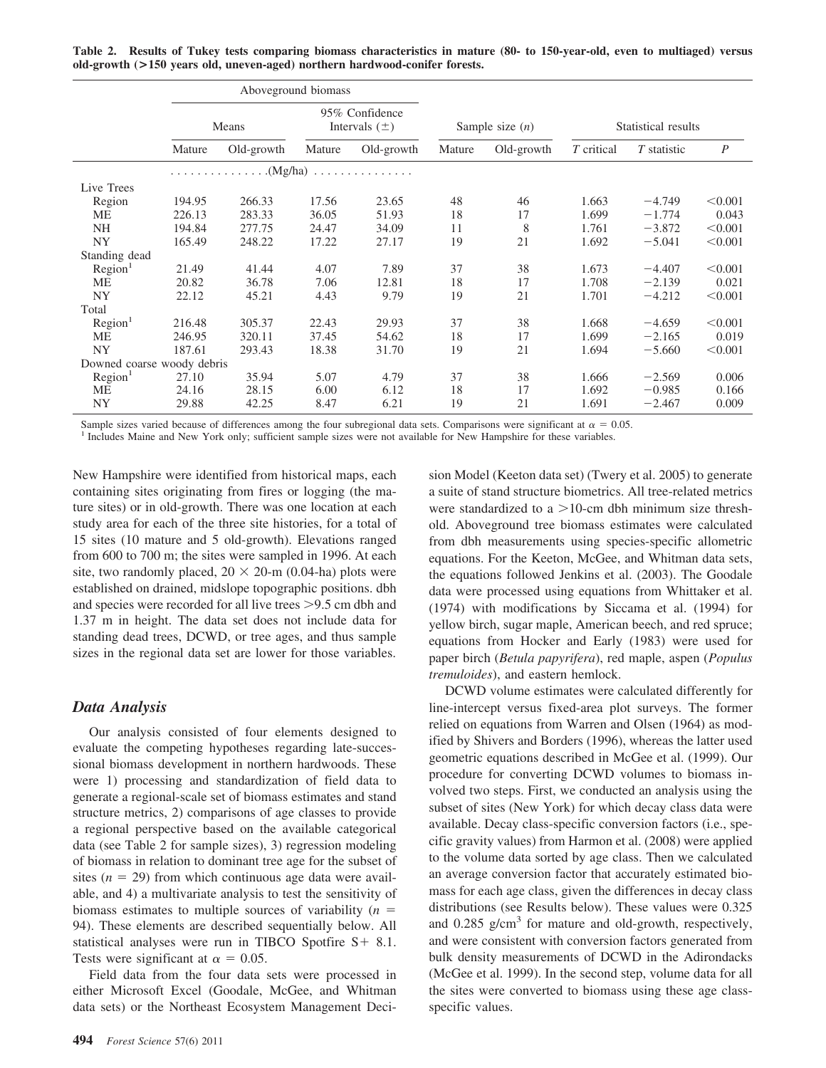**Table 2. Results of Tukey tests comparing biomass characteristics in mature (80- to 150-year-old, even to multiaged) versus old-growth (>150 years old, uneven-aged) northern hardwood-conifer forests.**

|                            | Aboveground biomass |            |                                     |            |                   |            |                     |             |                  |
|----------------------------|---------------------|------------|-------------------------------------|------------|-------------------|------------|---------------------|-------------|------------------|
|                            |                     | Means      | 95% Confidence<br>Intervals $(\pm)$ |            | Sample size $(n)$ |            | Statistical results |             |                  |
|                            | Mature              | Old-growth | Mature                              | Old-growth | Mature            | Old-growth | T critical          | T statistic | $\boldsymbol{P}$ |
|                            |                     | . (Mg/ha)  |                                     |            |                   |            |                     |             |                  |
| Live Trees                 |                     |            |                                     |            |                   |            |                     |             |                  |
| Region                     | 194.95              | 266.33     | 17.56                               | 23.65      | 48                | 46         | 1.663               | $-4.749$    | < 0.001          |
| ME                         | 226.13              | 283.33     | 36.05                               | 51.93      | 18                | 17         | 1.699               | $-1.774$    | 0.043            |
| <b>NH</b>                  | 194.84              | 277.75     | 24.47                               | 34.09      | 11                | 8          | 1.761               | $-3.872$    | < 0.001          |
| <b>NY</b>                  | 165.49              | 248.22     | 17.22                               | 27.17      | 19                | 21         | 1.692               | $-5.041$    | < 0.001          |
| Standing dead              |                     |            |                                     |            |                   |            |                     |             |                  |
| Region <sup>1</sup>        | 21.49               | 41.44      | 4.07                                | 7.89       | 37                | 38         | 1.673               | $-4.407$    | < 0.001          |
| <b>ME</b>                  | 20.82               | 36.78      | 7.06                                | 12.81      | 18                | 17         | 1.708               | $-2.139$    | 0.021            |
| <b>NY</b>                  | 22.12               | 45.21      | 4.43                                | 9.79       | 19                | 21         | 1.701               | $-4.212$    | < 0.001          |
| Total                      |                     |            |                                     |            |                   |            |                     |             |                  |
| Region <sup>1</sup>        | 216.48              | 305.37     | 22.43                               | 29.93      | 37                | 38         | 1.668               | $-4.659$    | < 0.001          |
| ME                         | 246.95              | 320.11     | 37.45                               | 54.62      | 18                | 17         | 1.699               | $-2.165$    | 0.019            |
| <b>NY</b>                  | 187.61              | 293.43     | 18.38                               | 31.70      | 19                | 21         | 1.694               | $-5.660$    | < 0.001          |
| Downed coarse woody debris |                     |            |                                     |            |                   |            |                     |             |                  |
| Region <sup>1</sup>        | 27.10               | 35.94      | 5.07                                | 4.79       | 37                | 38         | 1.666               | $-2.569$    | 0.006            |
| ME                         | 24.16               | 28.15      | 6.00                                | 6.12       | 18                | 17         | 1.692               | $-0.985$    | 0.166            |
| <b>NY</b>                  | 29.88               | 42.25      | 8.47                                | 6.21       | 19                | 21         | 1.691               | $-2.467$    | 0.009            |

Sample sizes varied because of differences among the four subregional data sets. Comparisons were significant at  $\alpha$  =

<sup>1</sup> Includes Maine and New York only; sufficient sample sizes were not available for New Hampshire for these variables.

New Hampshire were identified from historical maps, each containing sites originating from fires or logging (the mature sites) or in old-growth. There was one location at each study area for each of the three site histories, for a total of 15 sites (10 mature and 5 old-growth). Elevations ranged from 600 to 700 m; the sites were sampled in 1996. At each site, two randomly placed,  $20 \times 20$ -m (0.04-ha) plots were established on drained, midslope topographic positions. dbh and species were recorded for all live trees  $> 9.5$  cm dbh and 1.37 m in height. The data set does not include data for standing dead trees, DCWD, or tree ages, and thus sample sizes in the regional data set are lower for those variables.

#### *Data Analysis*

Our analysis consisted of four elements designed to evaluate the competing hypotheses regarding late-successional biomass development in northern hardwoods. These were 1) processing and standardization of field data to generate a regional-scale set of biomass estimates and stand structure metrics, 2) comparisons of age classes to provide a regional perspective based on the available categorical data (see Table 2 for sample sizes), 3) regression modeling of biomass in relation to dominant tree age for the subset of sites  $(n = 29)$  from which continuous age data were available, and 4) a multivariate analysis to test the sensitivity of biomass estimates to multiple sources of variability  $(n =$ 94). These elements are described sequentially below. All statistical analyses were run in TIBCO Spotfire  $S + 8.1$ . Tests were significant at  $\alpha = 0.05$ .

Field data from the four data sets were processed in either Microsoft Excel (Goodale, McGee, and Whitman data sets) or the Northeast Ecosystem Management Decision Model (Keeton data set) (Twery et al. 2005) to generate a suite of stand structure biometrics. All tree-related metrics were standardized to a  $>10$ -cm dbh minimum size threshold. Aboveground tree biomass estimates were calculated from dbh measurements using species-specific allometric equations. For the Keeton, McGee, and Whitman data sets, the equations followed Jenkins et al. (2003). The Goodale data were processed using equations from Whittaker et al. (1974) with modifications by Siccama et al. (1994) for yellow birch, sugar maple, American beech, and red spruce; equations from Hocker and Early (1983) were used for paper birch (*Betula papyrifera*), red maple, aspen (*Populus tremuloides*), and eastern hemlock.

DCWD volume estimates were calculated differently for line-intercept versus fixed-area plot surveys. The former relied on equations from Warren and Olsen (1964) as modified by Shivers and Borders (1996), whereas the latter used geometric equations described in McGee et al. (1999). Our procedure for converting DCWD volumes to biomass involved two steps. First, we conducted an analysis using the subset of sites (New York) for which decay class data were available. Decay class-specific conversion factors (i.e., specific gravity values) from Harmon et al. (2008) were applied to the volume data sorted by age class. Then we calculated an average conversion factor that accurately estimated biomass for each age class, given the differences in decay class distributions (see Results below). These values were 0.325 and  $0.285$  g/cm<sup>3</sup> for mature and old-growth, respectively, and were consistent with conversion factors generated from bulk density measurements of DCWD in the Adirondacks (McGee et al. 1999). In the second step, volume data for all the sites were converted to biomass using these age classspecific values.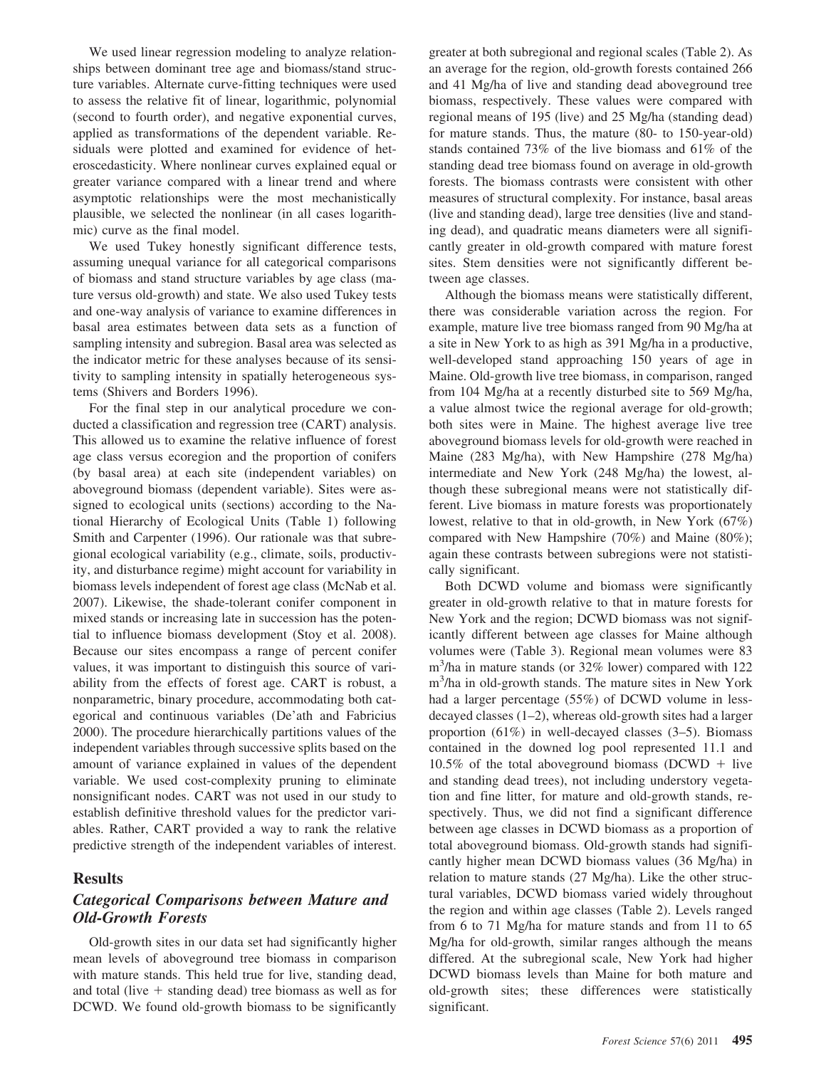We used linear regression modeling to analyze relationships between dominant tree age and biomass/stand structure variables. Alternate curve-fitting techniques were used to assess the relative fit of linear, logarithmic, polynomial (second to fourth order), and negative exponential curves, applied as transformations of the dependent variable. Residuals were plotted and examined for evidence of heteroscedasticity. Where nonlinear curves explained equal or greater variance compared with a linear trend and where asymptotic relationships were the most mechanistically plausible, we selected the nonlinear (in all cases logarithmic) curve as the final model.

We used Tukey honestly significant difference tests, assuming unequal variance for all categorical comparisons of biomass and stand structure variables by age class (mature versus old-growth) and state. We also used Tukey tests and one-way analysis of variance to examine differences in basal area estimates between data sets as a function of sampling intensity and subregion. Basal area was selected as the indicator metric for these analyses because of its sensitivity to sampling intensity in spatially heterogeneous systems (Shivers and Borders 1996).

For the final step in our analytical procedure we conducted a classification and regression tree (CART) analysis. This allowed us to examine the relative influence of forest age class versus ecoregion and the proportion of conifers (by basal area) at each site (independent variables) on aboveground biomass (dependent variable). Sites were assigned to ecological units (sections) according to the National Hierarchy of Ecological Units (Table 1) following Smith and Carpenter (1996). Our rationale was that subregional ecological variability (e.g., climate, soils, productivity, and disturbance regime) might account for variability in biomass levels independent of forest age class (McNab et al. 2007). Likewise, the shade-tolerant conifer component in mixed stands or increasing late in succession has the potential to influence biomass development (Stoy et al. 2008). Because our sites encompass a range of percent conifer values, it was important to distinguish this source of variability from the effects of forest age. CART is robust, a nonparametric, binary procedure, accommodating both categorical and continuous variables (De'ath and Fabricius 2000). The procedure hierarchically partitions values of the independent variables through successive splits based on the amount of variance explained in values of the dependent variable. We used cost-complexity pruning to eliminate nonsignificant nodes. CART was not used in our study to establish definitive threshold values for the predictor variables. Rather, CART provided a way to rank the relative predictive strength of the independent variables of interest.

#### **Results**

## *Categorical Comparisons between Mature and Old-Growth Forests*

Old-growth sites in our data set had significantly higher mean levels of aboveground tree biomass in comparison with mature stands. This held true for live, standing dead, and total (live  $+$  standing dead) tree biomass as well as for DCWD. We found old-growth biomass to be significantly

greater at both subregional and regional scales (Table 2). As an average for the region, old-growth forests contained 266 and 41 Mg/ha of live and standing dead aboveground tree biomass, respectively. These values were compared with regional means of 195 (live) and 25 Mg/ha (standing dead) for mature stands. Thus, the mature (80- to 150-year-old) stands contained 73% of the live biomass and 61% of the standing dead tree biomass found on average in old-growth forests. The biomass contrasts were consistent with other measures of structural complexity. For instance, basal areas (live and standing dead), large tree densities (live and standing dead), and quadratic means diameters were all significantly greater in old-growth compared with mature forest sites. Stem densities were not significantly different between age classes.

Although the biomass means were statistically different, there was considerable variation across the region. For example, mature live tree biomass ranged from 90 Mg/ha at a site in New York to as high as 391 Mg/ha in a productive, well-developed stand approaching 150 years of age in Maine. Old-growth live tree biomass, in comparison, ranged from 104 Mg/ha at a recently disturbed site to 569 Mg/ha, a value almost twice the regional average for old-growth; both sites were in Maine. The highest average live tree aboveground biomass levels for old-growth were reached in Maine (283 Mg/ha), with New Hampshire (278 Mg/ha) intermediate and New York (248 Mg/ha) the lowest, although these subregional means were not statistically different. Live biomass in mature forests was proportionately lowest, relative to that in old-growth, in New York (67%) compared with New Hampshire (70%) and Maine (80%); again these contrasts between subregions were not statistically significant.

Both DCWD volume and biomass were significantly greater in old-growth relative to that in mature forests for New York and the region; DCWD biomass was not significantly different between age classes for Maine although volumes were (Table 3). Regional mean volumes were 83 m<sup>3</sup>/ha in mature stands (or 32% lower) compared with 122 m3 /ha in old-growth stands. The mature sites in New York had a larger percentage (55%) of DCWD volume in lessdecayed classes (1–2), whereas old-growth sites had a larger proportion (61%) in well-decayed classes (3–5). Biomass contained in the downed log pool represented 11.1 and 10.5% of the total aboveground biomass (DCWD  $+$  live and standing dead trees), not including understory vegetation and fine litter, for mature and old-growth stands, respectively. Thus, we did not find a significant difference between age classes in DCWD biomass as a proportion of total aboveground biomass. Old-growth stands had significantly higher mean DCWD biomass values (36 Mg/ha) in relation to mature stands (27 Mg/ha). Like the other structural variables, DCWD biomass varied widely throughout the region and within age classes (Table 2). Levels ranged from 6 to 71 Mg/ha for mature stands and from 11 to 65 Mg/ha for old-growth, similar ranges although the means differed. At the subregional scale, New York had higher DCWD biomass levels than Maine for both mature and old-growth sites; these differences were statistically significant.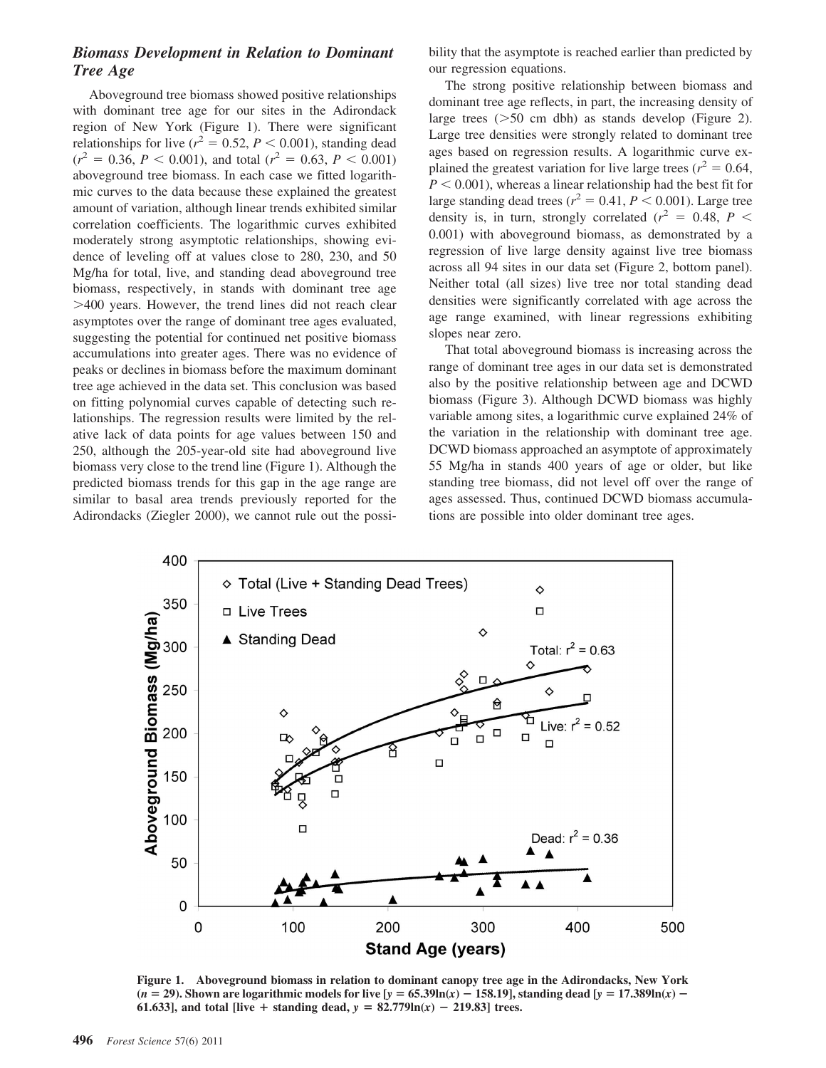## *Biomass Development in Relation to Dominant Tree Age*

Aboveground tree biomass showed positive relationships with dominant tree age for our sites in the Adirondack region of New York (Figure 1). There were significant relationships for live ( $r^2 = 0.52$ ,  $P < 0.001$ ), standing dead  $(r^2 = 0.36, P < 0.001)$ , and total  $(r^2 = 0.63, P < 0.001)$ aboveground tree biomass. In each case we fitted logarithmic curves to the data because these explained the greatest amount of variation, although linear trends exhibited similar correlation coefficients. The logarithmic curves exhibited moderately strong asymptotic relationships, showing evidence of leveling off at values close to 280, 230, and 50 Mg/ha for total, live, and standing dead aboveground tree biomass, respectively, in stands with dominant tree age 400 years. However, the trend lines did not reach clear asymptotes over the range of dominant tree ages evaluated, suggesting the potential for continued net positive biomass accumulations into greater ages. There was no evidence of peaks or declines in biomass before the maximum dominant tree age achieved in the data set. This conclusion was based on fitting polynomial curves capable of detecting such relationships. The regression results were limited by the relative lack of data points for age values between 150 and 250, although the 205-year-old site had aboveground live biomass very close to the trend line (Figure 1). Although the predicted biomass trends for this gap in the age range are similar to basal area trends previously reported for the Adirondacks (Ziegler 2000), we cannot rule out the possibility that the asymptote is reached earlier than predicted by our regression equations.

The strong positive relationship between biomass and dominant tree age reflects, in part, the increasing density of large trees  $(50 \text{ cm}$  dbh) as stands develop (Figure 2). Large tree densities were strongly related to dominant tree ages based on regression results. A logarithmic curve explained the greatest variation for live large trees ( $r^2 = 0.64$ ,  $P < 0.001$ ), whereas a linear relationship had the best fit for large standing dead trees ( $r^2 = 0.41$ ,  $P < 0.001$ ). Large tree density is, in turn, strongly correlated  $(r^2 = 0.48, P <$ 0.001) with aboveground biomass, as demonstrated by a regression of live large density against live tree biomass across all 94 sites in our data set (Figure 2, bottom panel). Neither total (all sizes) live tree nor total standing dead densities were significantly correlated with age across the age range examined, with linear regressions exhibiting slopes near zero.

That total aboveground biomass is increasing across the range of dominant tree ages in our data set is demonstrated also by the positive relationship between age and DCWD biomass (Figure 3). Although DCWD biomass was highly variable among sites, a logarithmic curve explained 24% of the variation in the relationship with dominant tree age. DCWD biomass approached an asymptote of approximately 55 Mg/ha in stands 400 years of age or older, but like standing tree biomass, did not level off over the range of ages assessed. Thus, continued DCWD biomass accumulations are possible into older dominant tree ages.



**Figure 1. Aboveground biomass in relation to dominant canopy tree age in the Adirondacks, New York**  $(n = 29)$ . Shown are logarithmic models for live  $[y = 65.39\text{ln}(x) - 158.19]$ , standing dead  $[y = 17.389\text{ln}(x) - 158.19]$ **61.633**], and total [live + standing dead,  $y = 82.779 \ln(x) - 219.83$ ] trees.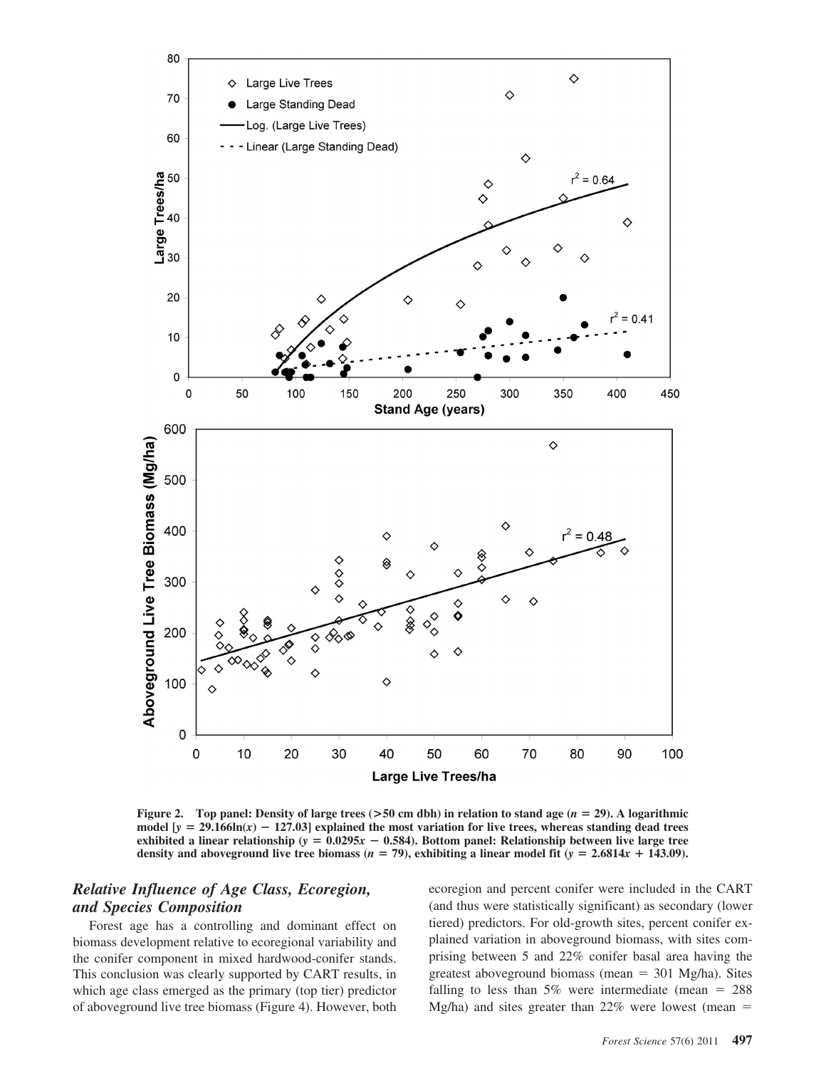

**Figure 2.** Top panel: Density of large trees  $($ >50 cm dbh) in relation to stand age  $(n = 29)$ . A logarithmic model  $[y = 29.166\ln(x) - 127.03]$  explained the most variation for live trees, whereas standing dead trees exhibited a linear relationship ( $y = 0.0295x - 0.584$ ). Bottom panel: Relationship between live large tree **density and aboveground live tree biomass (** $n = 79$ **), exhibiting a linear model fit (** $y = 2.6814x + 143.09$ **).** 

## *Relative Influence of Age Class, Ecoregion, and Species Composition*

Forest age has a controlling and dominant effect on biomass development relative to ecoregional variability and the conifer component in mixed hardwood-conifer stands. This conclusion was clearly supported by CART results, in which age class emerged as the primary (top tier) predictor of aboveground live tree biomass (Figure 4). However, both ecoregion and percent conifer were included in the CART (and thus were statistically significant) as secondary (lower tiered) predictors. For old-growth sites, percent conifer explained variation in aboveground biomass, with sites comprising between 5 and 22% conifer basal area having the greatest aboveground biomass (mean  $= 301$  Mg/ha). Sites falling to less than  $5\%$  were intermediate (mean = 288) Mg/ha) and sites greater than  $22\%$  were lowest (mean =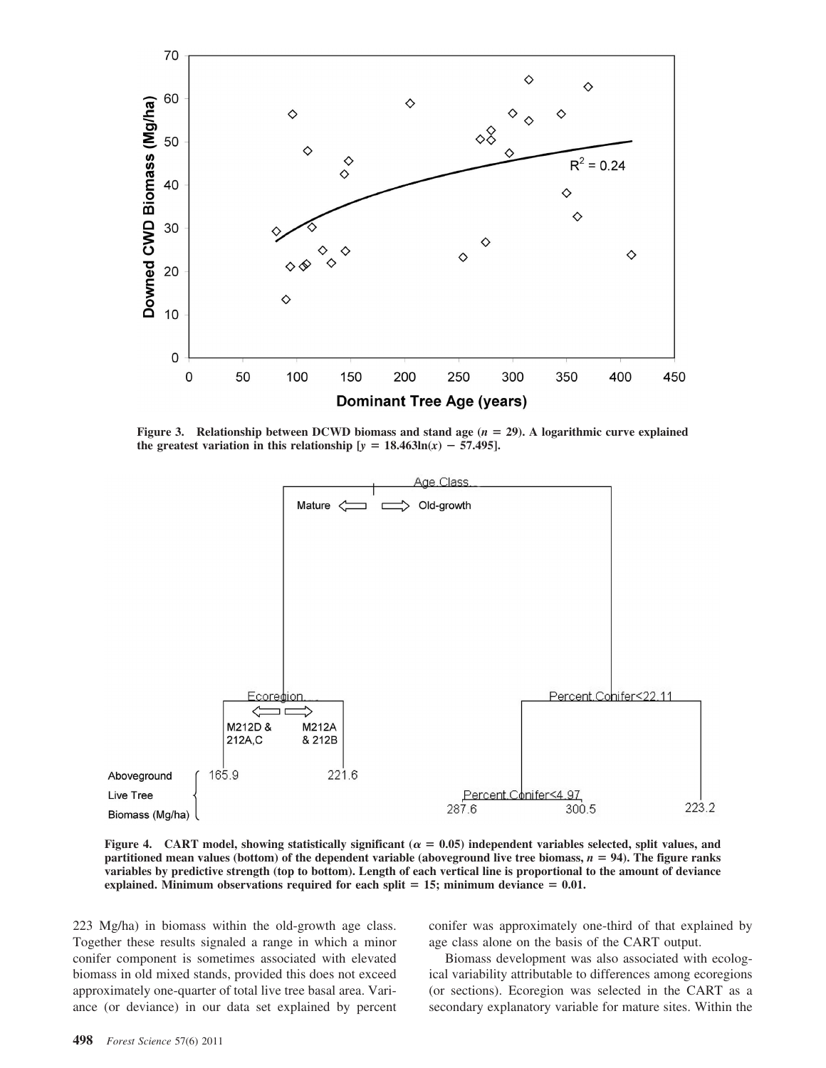

**Figure 3.** Relationship between DCWD biomass and stand age  $(n = 29)$ . A logarithmic curve explained **the greatest variation in this relationship**  $[y = 18.463\text{ln}(x) - 57.495]$ **.** 



**Figure 4.** CART model, showing statistically significant ( $\alpha = 0.05$ ) independent variables selected, split values, and **partitioned mean values (bottom) of the dependent variable (aboveground live tree biomass,** *n* **94). The figure ranks variables by predictive strength (top to bottom). Length of each vertical line is proportional to the amount of deviance explained. Minimum observations required for each split 15; minimum deviance 0.01.**

223 Mg/ha) in biomass within the old-growth age class. Together these results signaled a range in which a minor conifer component is sometimes associated with elevated biomass in old mixed stands, provided this does not exceed approximately one-quarter of total live tree basal area. Variance (or deviance) in our data set explained by percent conifer was approximately one-third of that explained by age class alone on the basis of the CART output.

Biomass development was also associated with ecological variability attributable to differences among ecoregions (or sections). Ecoregion was selected in the CART as a secondary explanatory variable for mature sites. Within the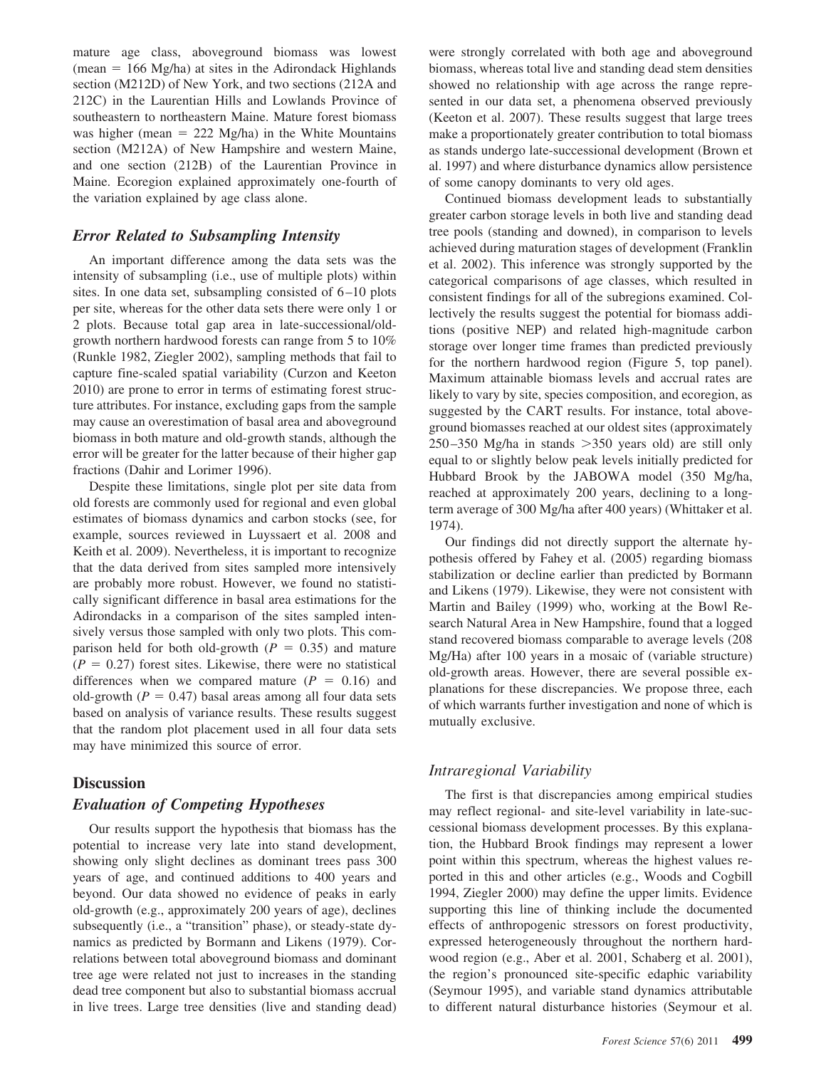mature age class, aboveground biomass was lowest  $(mean = 166 Mg/ha)$  at sites in the Adirondack Highlands section (M212D) of New York, and two sections (212A and 212C) in the Laurentian Hills and Lowlands Province of southeastern to northeastern Maine. Mature forest biomass was higher (mean  $= 222$  Mg/ha) in the White Mountains section (M212A) of New Hampshire and western Maine, and one section (212B) of the Laurentian Province in Maine. Ecoregion explained approximately one-fourth of the variation explained by age class alone.

#### *Error Related to Subsampling Intensity*

An important difference among the data sets was the intensity of subsampling (i.e., use of multiple plots) within sites. In one data set, subsampling consisted of  $6-10$  plots per site, whereas for the other data sets there were only 1 or 2 plots. Because total gap area in late-successional/oldgrowth northern hardwood forests can range from 5 to 10% (Runkle 1982, Ziegler 2002), sampling methods that fail to capture fine-scaled spatial variability (Curzon and Keeton 2010) are prone to error in terms of estimating forest structure attributes. For instance, excluding gaps from the sample may cause an overestimation of basal area and aboveground biomass in both mature and old-growth stands, although the error will be greater for the latter because of their higher gap fractions (Dahir and Lorimer 1996).

Despite these limitations, single plot per site data from old forests are commonly used for regional and even global estimates of biomass dynamics and carbon stocks (see, for example, sources reviewed in Luyssaert et al. 2008 and Keith et al. 2009). Nevertheless, it is important to recognize that the data derived from sites sampled more intensively are probably more robust. However, we found no statistically significant difference in basal area estimations for the Adirondacks in a comparison of the sites sampled intensively versus those sampled with only two plots. This comparison held for both old-growth  $(P = 0.35)$  and mature  $(P = 0.27)$  forest sites. Likewise, there were no statistical differences when we compared mature  $(P = 0.16)$  and old-growth  $(P = 0.47)$  basal areas among all four data sets based on analysis of variance results. These results suggest that the random plot placement used in all four data sets may have minimized this source of error.

#### **Discussion**

#### *Evaluation of Competing Hypotheses*

Our results support the hypothesis that biomass has the potential to increase very late into stand development, showing only slight declines as dominant trees pass 300 years of age, and continued additions to 400 years and beyond. Our data showed no evidence of peaks in early old-growth (e.g., approximately 200 years of age), declines subsequently (i.e., a "transition" phase), or steady-state dynamics as predicted by Bormann and Likens (1979). Correlations between total aboveground biomass and dominant tree age were related not just to increases in the standing dead tree component but also to substantial biomass accrual in live trees. Large tree densities (live and standing dead)

were strongly correlated with both age and aboveground biomass, whereas total live and standing dead stem densities showed no relationship with age across the range represented in our data set, a phenomena observed previously (Keeton et al. 2007). These results suggest that large trees make a proportionately greater contribution to total biomass as stands undergo late-successional development (Brown et al. 1997) and where disturbance dynamics allow persistence of some canopy dominants to very old ages.

Continued biomass development leads to substantially greater carbon storage levels in both live and standing dead tree pools (standing and downed), in comparison to levels achieved during maturation stages of development (Franklin et al. 2002). This inference was strongly supported by the categorical comparisons of age classes, which resulted in consistent findings for all of the subregions examined. Collectively the results suggest the potential for biomass additions (positive NEP) and related high-magnitude carbon storage over longer time frames than predicted previously for the northern hardwood region (Figure 5, top panel). Maximum attainable biomass levels and accrual rates are likely to vary by site, species composition, and ecoregion, as suggested by the CART results. For instance, total aboveground biomasses reached at our oldest sites (approximately  $250 - 350$  Mg/ha in stands  $> 350$  years old) are still only equal to or slightly below peak levels initially predicted for Hubbard Brook by the JABOWA model (350 Mg/ha, reached at approximately 200 years, declining to a longterm average of 300 Mg/ha after 400 years) (Whittaker et al. 1974).

Our findings did not directly support the alternate hypothesis offered by Fahey et al. (2005) regarding biomass stabilization or decline earlier than predicted by Bormann and Likens (1979). Likewise, they were not consistent with Martin and Bailey (1999) who, working at the Bowl Research Natural Area in New Hampshire, found that a logged stand recovered biomass comparable to average levels (208 Mg/Ha) after 100 years in a mosaic of (variable structure) old-growth areas. However, there are several possible explanations for these discrepancies. We propose three, each of which warrants further investigation and none of which is mutually exclusive.

## *Intraregional Variability*

The first is that discrepancies among empirical studies may reflect regional- and site-level variability in late-successional biomass development processes. By this explanation, the Hubbard Brook findings may represent a lower point within this spectrum, whereas the highest values reported in this and other articles (e.g., Woods and Cogbill 1994, Ziegler 2000) may define the upper limits. Evidence supporting this line of thinking include the documented effects of anthropogenic stressors on forest productivity, expressed heterogeneously throughout the northern hardwood region (e.g., Aber et al. 2001, Schaberg et al. 2001), the region's pronounced site-specific edaphic variability (Seymour 1995), and variable stand dynamics attributable to different natural disturbance histories (Seymour et al.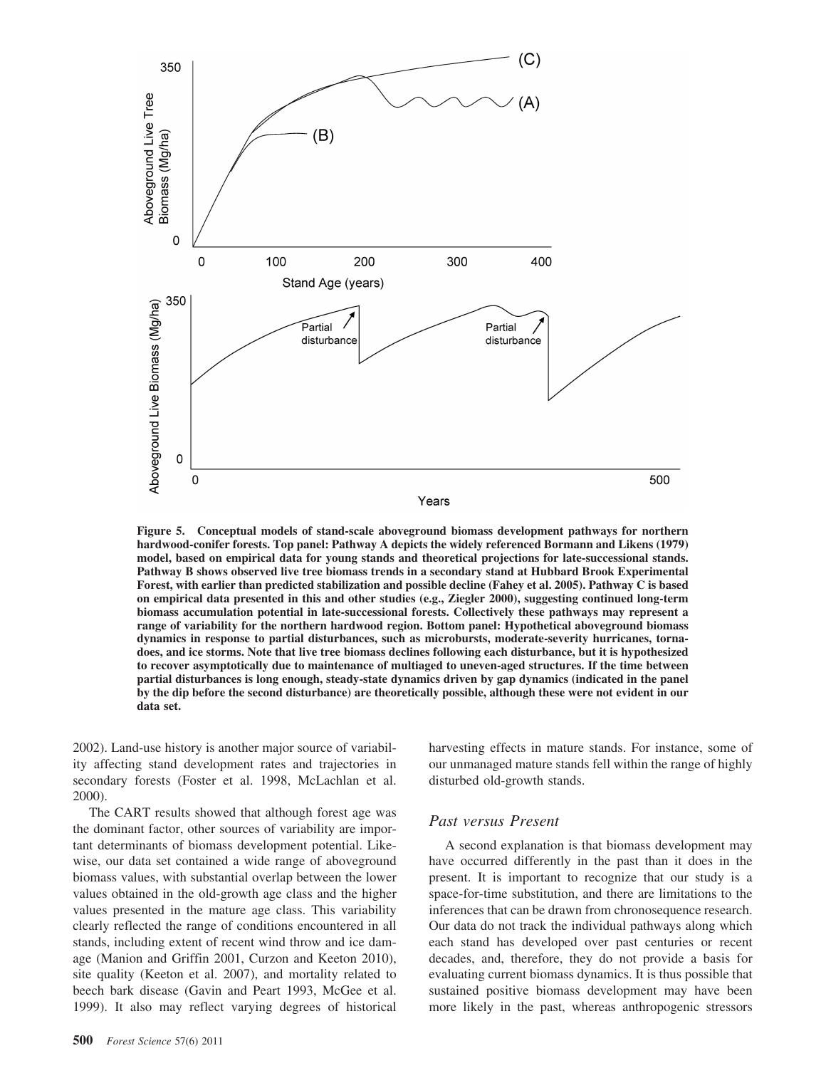

**Figure 5. Conceptual models of stand-scale aboveground biomass development pathways for northern hardwood-conifer forests. Top panel: Pathway A depicts the widely referenced Bormann and Likens (1979) model, based on empirical data for young stands and theoretical projections for late-successional stands. Pathway B shows observed live tree biomass trends in a secondary stand at Hubbard Brook Experimental Forest, with earlier than predicted stabilization and possible decline (Fahey et al. 2005). Pathway C is based on empirical data presented in this and other studies (e.g., Ziegler 2000), suggesting continued long-term biomass accumulation potential in late-successional forests. Collectively these pathways may represent a range of variability for the northern hardwood region. Bottom panel: Hypothetical aboveground biomass dynamics in response to partial disturbances, such as microbursts, moderate-severity hurricanes, tornadoes, and ice storms. Note that live tree biomass declines following each disturbance, but it is hypothesized to recover asymptotically due to maintenance of multiaged to uneven-aged structures. If the time between partial disturbances is long enough, steady-state dynamics driven by gap dynamics (indicated in the panel by the dip before the second disturbance) are theoretically possible, although these were not evident in our data set.**

2002). Land-use history is another major source of variability affecting stand development rates and trajectories in secondary forests (Foster et al. 1998, McLachlan et al. 2000).

The CART results showed that although forest age was the dominant factor, other sources of variability are important determinants of biomass development potential. Likewise, our data set contained a wide range of aboveground biomass values, with substantial overlap between the lower values obtained in the old-growth age class and the higher values presented in the mature age class. This variability clearly reflected the range of conditions encountered in all stands, including extent of recent wind throw and ice damage (Manion and Griffin 2001, Curzon and Keeton 2010), site quality (Keeton et al. 2007), and mortality related to beech bark disease (Gavin and Peart 1993, McGee et al. 1999). It also may reflect varying degrees of historical

**500** *Forest Science* 57(6) 2011

harvesting effects in mature stands. For instance, some of our unmanaged mature stands fell within the range of highly disturbed old-growth stands.

#### *Past versus Present*

A second explanation is that biomass development may have occurred differently in the past than it does in the present. It is important to recognize that our study is a space-for-time substitution, and there are limitations to the inferences that can be drawn from chronosequence research. Our data do not track the individual pathways along which each stand has developed over past centuries or recent decades, and, therefore, they do not provide a basis for evaluating current biomass dynamics. It is thus possible that sustained positive biomass development may have been more likely in the past, whereas anthropogenic stressors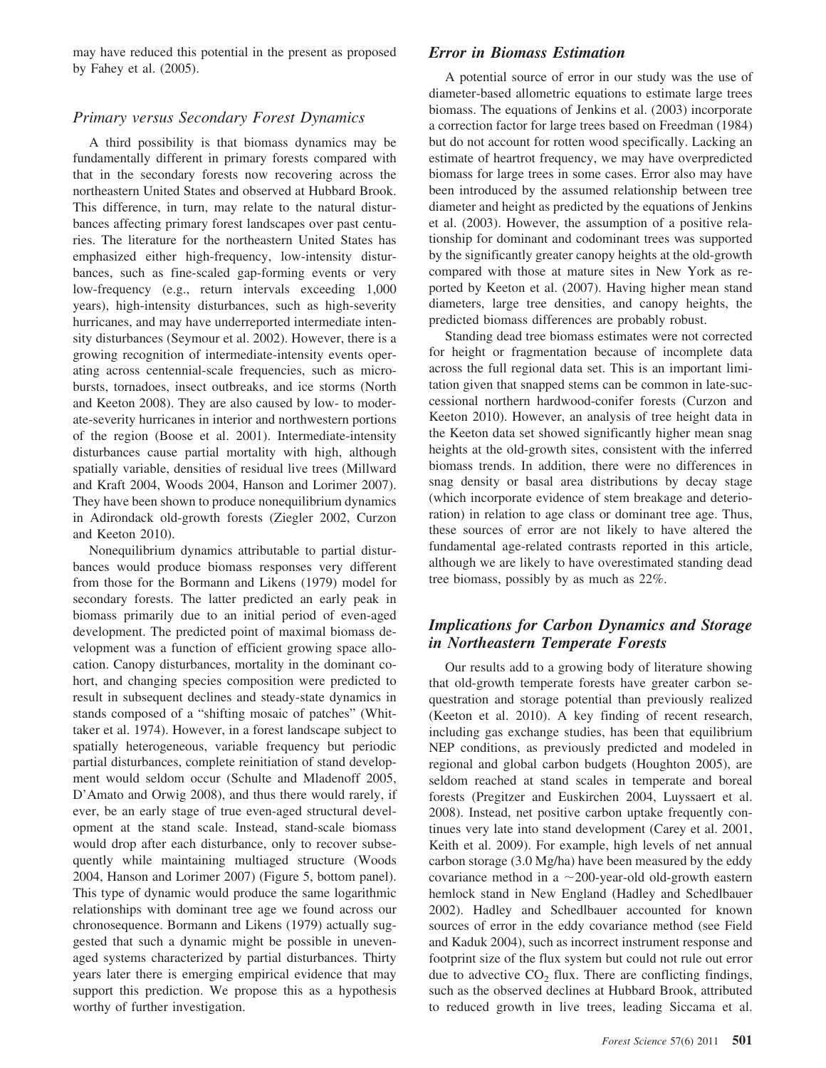may have reduced this potential in the present as proposed by Fahey et al. (2005).

## *Primary versus Secondary Forest Dynamics*

A third possibility is that biomass dynamics may be fundamentally different in primary forests compared with that in the secondary forests now recovering across the northeastern United States and observed at Hubbard Brook. This difference, in turn, may relate to the natural disturbances affecting primary forest landscapes over past centuries. The literature for the northeastern United States has emphasized either high-frequency, low-intensity disturbances, such as fine-scaled gap-forming events or very low-frequency (e.g., return intervals exceeding 1,000 years), high-intensity disturbances, such as high-severity hurricanes, and may have underreported intermediate intensity disturbances (Seymour et al. 2002). However, there is a growing recognition of intermediate-intensity events operating across centennial-scale frequencies, such as microbursts, tornadoes, insect outbreaks, and ice storms (North and Keeton 2008). They are also caused by low- to moderate-severity hurricanes in interior and northwestern portions of the region (Boose et al. 2001). Intermediate-intensity disturbances cause partial mortality with high, although spatially variable, densities of residual live trees (Millward and Kraft 2004, Woods 2004, Hanson and Lorimer 2007). They have been shown to produce nonequilibrium dynamics in Adirondack old-growth forests (Ziegler 2002, Curzon and Keeton 2010).

Nonequilibrium dynamics attributable to partial disturbances would produce biomass responses very different from those for the Bormann and Likens (1979) model for secondary forests. The latter predicted an early peak in biomass primarily due to an initial period of even-aged development. The predicted point of maximal biomass development was a function of efficient growing space allocation. Canopy disturbances, mortality in the dominant cohort, and changing species composition were predicted to result in subsequent declines and steady-state dynamics in stands composed of a "shifting mosaic of patches" (Whittaker et al. 1974). However, in a forest landscape subject to spatially heterogeneous, variable frequency but periodic partial disturbances, complete reinitiation of stand development would seldom occur (Schulte and Mladenoff 2005, D'Amato and Orwig 2008), and thus there would rarely, if ever, be an early stage of true even-aged structural development at the stand scale. Instead, stand-scale biomass would drop after each disturbance, only to recover subsequently while maintaining multiaged structure (Woods 2004, Hanson and Lorimer 2007) (Figure 5, bottom panel). This type of dynamic would produce the same logarithmic relationships with dominant tree age we found across our chronosequence. Bormann and Likens (1979) actually suggested that such a dynamic might be possible in unevenaged systems characterized by partial disturbances. Thirty years later there is emerging empirical evidence that may support this prediction. We propose this as a hypothesis worthy of further investigation.

### *Error in Biomass Estimation*

A potential source of error in our study was the use of diameter-based allometric equations to estimate large trees biomass. The equations of Jenkins et al. (2003) incorporate a correction factor for large trees based on Freedman (1984) but do not account for rotten wood specifically. Lacking an estimate of heartrot frequency, we may have overpredicted biomass for large trees in some cases. Error also may have been introduced by the assumed relationship between tree diameter and height as predicted by the equations of Jenkins et al. (2003). However, the assumption of a positive relationship for dominant and codominant trees was supported by the significantly greater canopy heights at the old-growth compared with those at mature sites in New York as reported by Keeton et al. (2007). Having higher mean stand diameters, large tree densities, and canopy heights, the predicted biomass differences are probably robust.

Standing dead tree biomass estimates were not corrected for height or fragmentation because of incomplete data across the full regional data set. This is an important limitation given that snapped stems can be common in late-successional northern hardwood-conifer forests (Curzon and Keeton 2010). However, an analysis of tree height data in the Keeton data set showed significantly higher mean snag heights at the old-growth sites, consistent with the inferred biomass trends. In addition, there were no differences in snag density or basal area distributions by decay stage (which incorporate evidence of stem breakage and deterioration) in relation to age class or dominant tree age. Thus, these sources of error are not likely to have altered the fundamental age-related contrasts reported in this article, although we are likely to have overestimated standing dead tree biomass, possibly by as much as 22%.

## *Implications for Carbon Dynamics and Storage in Northeastern Temperate Forests*

Our results add to a growing body of literature showing that old-growth temperate forests have greater carbon sequestration and storage potential than previously realized (Keeton et al. 2010). A key finding of recent research, including gas exchange studies, has been that equilibrium NEP conditions, as previously predicted and modeled in regional and global carbon budgets (Houghton 2005), are seldom reached at stand scales in temperate and boreal forests (Pregitzer and Euskirchen 2004, Luyssaert et al. 2008). Instead, net positive carbon uptake frequently continues very late into stand development (Carey et al. 2001, Keith et al. 2009). For example, high levels of net annual carbon storage (3.0 Mg/ha) have been measured by the eddy covariance method in a  $\sim$  200-year-old old-growth eastern hemlock stand in New England (Hadley and Schedlbauer 2002). Hadley and Schedlbauer accounted for known sources of error in the eddy covariance method (see Field and Kaduk 2004), such as incorrect instrument response and footprint size of the flux system but could not rule out error due to advective  $CO<sub>2</sub>$  flux. There are conflicting findings, such as the observed declines at Hubbard Brook, attributed to reduced growth in live trees, leading Siccama et al.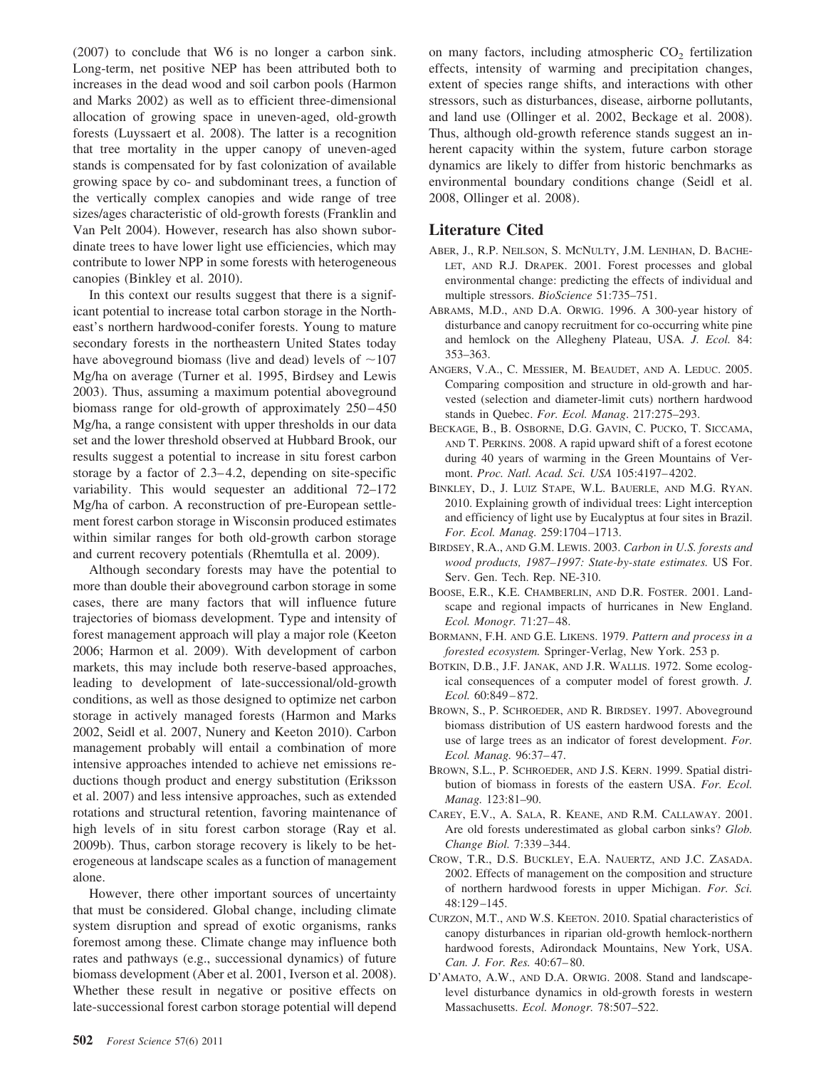(2007) to conclude that W6 is no longer a carbon sink. Long-term, net positive NEP has been attributed both to increases in the dead wood and soil carbon pools (Harmon and Marks 2002) as well as to efficient three-dimensional allocation of growing space in uneven-aged, old-growth forests (Luyssaert et al. 2008). The latter is a recognition that tree mortality in the upper canopy of uneven-aged stands is compensated for by fast colonization of available growing space by co- and subdominant trees, a function of the vertically complex canopies and wide range of tree sizes/ages characteristic of old-growth forests (Franklin and Van Pelt 2004). However, research has also shown subordinate trees to have lower light use efficiencies, which may contribute to lower NPP in some forests with heterogeneous canopies (Binkley et al. 2010).

In this context our results suggest that there is a significant potential to increase total carbon storage in the Northeast's northern hardwood-conifer forests. Young to mature secondary forests in the northeastern United States today have aboveground biomass (live and dead) levels of  $\sim$ 107 Mg/ha on average (Turner et al. 1995, Birdsey and Lewis 2003). Thus, assuming a maximum potential aboveground biomass range for old-growth of approximately 250 – 450 Mg/ha, a range consistent with upper thresholds in our data set and the lower threshold observed at Hubbard Brook, our results suggest a potential to increase in situ forest carbon storage by a factor of  $2.3-4.2$ , depending on site-specific variability. This would sequester an additional 72–172 Mg/ha of carbon. A reconstruction of pre-European settlement forest carbon storage in Wisconsin produced estimates within similar ranges for both old-growth carbon storage and current recovery potentials (Rhemtulla et al. 2009).

Although secondary forests may have the potential to more than double their aboveground carbon storage in some cases, there are many factors that will influence future trajectories of biomass development. Type and intensity of forest management approach will play a major role (Keeton 2006; Harmon et al. 2009). With development of carbon markets, this may include both reserve-based approaches, leading to development of late-successional/old-growth conditions, as well as those designed to optimize net carbon storage in actively managed forests (Harmon and Marks 2002, Seidl et al. 2007, Nunery and Keeton 2010). Carbon management probably will entail a combination of more intensive approaches intended to achieve net emissions reductions though product and energy substitution (Eriksson et al. 2007) and less intensive approaches, such as extended rotations and structural retention, favoring maintenance of high levels of in situ forest carbon storage (Ray et al. 2009b). Thus, carbon storage recovery is likely to be heterogeneous at landscape scales as a function of management alone.

However, there other important sources of uncertainty that must be considered. Global change, including climate system disruption and spread of exotic organisms, ranks foremost among these. Climate change may influence both rates and pathways (e.g., successional dynamics) of future biomass development (Aber et al. 2001, Iverson et al. 2008). Whether these result in negative or positive effects on late-successional forest carbon storage potential will depend

on many factors, including atmospheric  $CO<sub>2</sub>$  fertilization effects, intensity of warming and precipitation changes, extent of species range shifts, and interactions with other stressors, such as disturbances, disease, airborne pollutants, and land use (Ollinger et al. 2002, Beckage et al. 2008). Thus, although old-growth reference stands suggest an inherent capacity within the system, future carbon storage dynamics are likely to differ from historic benchmarks as environmental boundary conditions change (Seidl et al. 2008, Ollinger et al. 2008).

## **Literature Cited**

- ABER, J., R.P. NEILSON, S. MCNULTY, J.M. LENIHAN, D. BACHE-LET, AND R.J. DRAPEK. 2001. Forest processes and global environmental change: predicting the effects of individual and multiple stressors. *BioScience* 51:735–751.
- ABRAMS, M.D., AND D.A. ORWIG. 1996. A 300-year history of disturbance and canopy recruitment for co-occurring white pine and hemlock on the Allegheny Plateau, USA*. J. Ecol.* 84: 353–363.
- ANGERS, V.A., C. MESSIER, M. BEAUDET, AND A. LEDUC. 2005. Comparing composition and structure in old-growth and harvested (selection and diameter-limit cuts) northern hardwood stands in Quebec. *For. Ecol. Manag*. 217:275–293.
- BECKAGE, B., B. OSBORNE, D.G. GAVIN, C. PUCKO, T. SICCAMA, AND T. PERKINS. 2008. A rapid upward shift of a forest ecotone during 40 years of warming in the Green Mountains of Vermont. *Proc. Natl. Acad. Sci. USA* 105:4197– 4202.
- BINKLEY, D., J. LUIZ STAPE, W.L. BAUERLE, AND M.G. RYAN. 2010. Explaining growth of individual trees: Light interception and efficiency of light use by Eucalyptus at four sites in Brazil. *For. Ecol. Manag.* 259:1704 –1713.
- BIRDSEY, R.A., AND G.M. LEWIS. 2003. *Carbon in U.S. forests and wood products, 1987–1997: State-by-state estimates.* US For. Serv. Gen. Tech. Rep. NE-310.
- BOOSE, E.R., K.E. CHAMBERLIN, AND D.R. FOSTER. 2001. Landscape and regional impacts of hurricanes in New England. *Ecol. Monogr.* 71:27– 48.
- BORMANN, F.H. AND G.E. LIKENS. 1979. *Pattern and process in a forested ecosystem.* Springer-Verlag, New York. 253 p.
- BOTKIN, D.B., J.F. JANAK, AND J.R. WALLIS. 1972. Some ecological consequences of a computer model of forest growth. *J. Ecol.* 60:849 – 872.
- BROWN, S., P. SCHROEDER, AND R. BIRDSEY. 1997. Aboveground biomass distribution of US eastern hardwood forests and the use of large trees as an indicator of forest development. *For. Ecol. Manag.* 96:37– 47.
- BROWN, S.L., P. SCHROEDER, AND J.S. KERN. 1999. Spatial distribution of biomass in forests of the eastern USA. *For. Ecol. Manag.* 123:81–90.
- CAREY, E.V., A. SALA, R. KEANE, AND R.M. CALLAWAY. 2001. Are old forests underestimated as global carbon sinks? *Glob. Change Biol.* 7:339 –344.
- CROW, T.R., D.S. BUCKLEY, E.A. NAUERTZ, AND J.C. ZASADA. 2002. Effects of management on the composition and structure of northern hardwood forests in upper Michigan. *For. Sci.* 48:129 –145.
- CURZON, M.T., AND W.S. KEETON. 2010. Spatial characteristics of canopy disturbances in riparian old-growth hemlock-northern hardwood forests, Adirondack Mountains, New York, USA. *Can. J. For. Res.* 40:67– 80.
- D'AMATO, A.W., AND D.A. ORWIG. 2008. Stand and landscapelevel disturbance dynamics in old-growth forests in western Massachusetts. *Ecol. Monogr.* 78:507–522.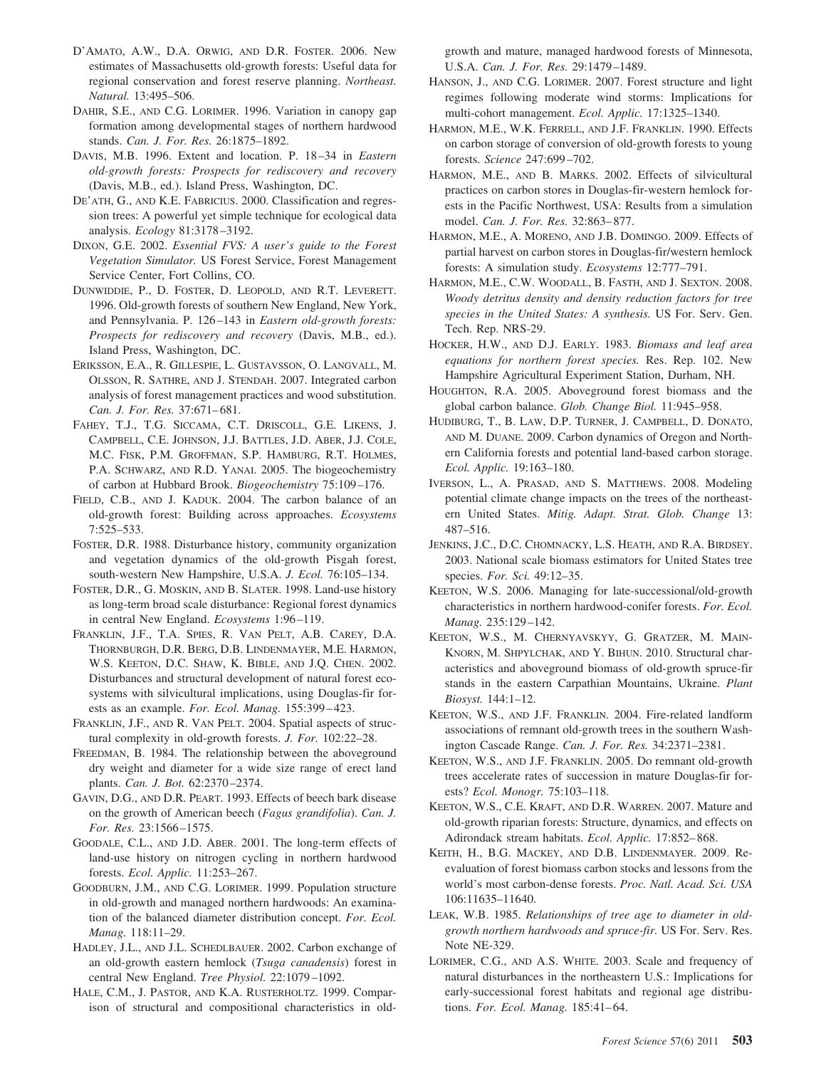- D'AMATO, A.W., D.A. ORWIG, AND D.R. FOSTER. 2006. New estimates of Massachusetts old-growth forests: Useful data for regional conservation and forest reserve planning. *Northeast. Natural.* 13:495–506.
- DAHIR, S.E., AND C.G. LORIMER. 1996. Variation in canopy gap formation among developmental stages of northern hardwood stands. *Can. J. For. Res.* 26:1875–1892.
- DAVIS, M.B. 1996. Extent and location. P. 18 –34 in *Eastern old-growth forests: Prospects for rediscovery and recovery* (Davis, M.B., ed.). Island Press, Washington, DC.
- DE'ATH, G., AND K.E. FABRICIUS. 2000. Classification and regression trees: A powerful yet simple technique for ecological data analysis. *Ecology* 81:3178 –3192.
- DIXON, G.E. 2002. *Essential FVS: A user's guide to the Forest Vegetation Simulator.* US Forest Service, Forest Management Service Center, Fort Collins, CO.
- DUNWIDDIE, P., D. FOSTER, D. LEOPOLD, AND R.T. LEVERETT. 1996. Old-growth forests of southern New England, New York, and Pennsylvania. P. 126 –143 in *Eastern old-growth forests: Prospects for rediscovery and recovery* (Davis, M.B., ed.). Island Press, Washington, DC.
- ERIKSSON, E.A., R. GILLESPIE, L. GUSTAVSSON, O. LANGVALL, M. OLSSON, R. SATHRE, AND J. STENDAH. 2007. Integrated carbon analysis of forest management practices and wood substitution. *Can. J. For. Res.* 37:671– 681.
- FAHEY, T.J., T.G. SICCAMA, C.T. DRISCOLL, G.E. LIKENS, J. CAMPBELL, C.E. JOHNSON, J.J. BATTLES, J.D. ABER, J.J. COLE, M.C. FISK, P.M. GROFFMAN, S.P. HAMBURG, R.T. HOLMES, P.A. SCHWARZ, AND R.D. YANAI. 2005. The biogeochemistry of carbon at Hubbard Brook. *Biogeochemistry* 75:109 –176.
- FIELD, C.B., AND J. KADUK. 2004. The carbon balance of an old-growth forest: Building across approaches. *Ecosystems* 7:525–533.
- FOSTER, D.R. 1988. Disturbance history, community organization and vegetation dynamics of the old-growth Pisgah forest, south-western New Hampshire, U.S.A. *J. Ecol.* 76:105–134.
- FOSTER, D.R., G. MOSKIN, AND B. SLATER. 1998. Land-use history as long-term broad scale disturbance: Regional forest dynamics in central New England. *Ecosystems* 1:96 –119.
- FRANKLIN, J.F., T.A. SPIES, R. VAN PELT, A.B. CAREY, D.A. THORNBURGH, D.R. BERG, D.B. LINDENMAYER, M.E. HARMON, W.S. KEETON, D.C. SHAW, K. BIBLE, AND J.Q. CHEN. 2002. Disturbances and structural development of natural forest ecosystems with silvicultural implications, using Douglas-fir forests as an example. *For. Ecol. Manag.* 155:399 – 423.
- FRANKLIN, J.F., AND R. VAN PELT. 2004. Spatial aspects of structural complexity in old-growth forests. *J. For.* 102:22–28.
- FREEDMAN, B. 1984. The relationship between the aboveground dry weight and diameter for a wide size range of erect land plants. *Can. J. Bot.* 62:2370 –2374.
- GAVIN, D.G., AND D.R. PEART. 1993. Effects of beech bark disease on the growth of American beech (*Fagus grandifolia*). *Can. J. For. Res.* 23:1566 –1575.
- GOODALE, C.L., AND J.D. ABER. 2001. The long-term effects of land-use history on nitrogen cycling in northern hardwood forests. *Ecol. Applic.* 11:253–267.
- GOODBURN, J.M., AND C.G. LORIMER. 1999. Population structure in old-growth and managed northern hardwoods: An examination of the balanced diameter distribution concept. *For. Ecol. Manag.* 118:11–29.
- HADLEY, J.L., AND J.L. SCHEDLBAUER. 2002. Carbon exchange of an old-growth eastern hemlock (*Tsuga canadensis*) forest in central New England. *Tree Physiol.* 22:1079 –1092.
- HALE, C.M., J. PASTOR, AND K.A. RUSTERHOLTZ. 1999. Comparison of structural and compositional characteristics in old-

growth and mature, managed hardwood forests of Minnesota, U.S.A. *Can. J. For. Res.* 29:1479 –1489.

- HANSON, J., AND C.G. LORIMER. 2007. Forest structure and light regimes following moderate wind storms: Implications for multi-cohort management. *Ecol. Applic.* 17:1325–1340.
- HARMON, M.E., W.K. FERRELL, AND J.F. FRANKLIN. 1990. Effects on carbon storage of conversion of old-growth forests to young forests. *Science* 247:699 –702.
- HARMON, M.E., AND B. MARKS. 2002. Effects of silvicultural practices on carbon stores in Douglas-fir-western hemlock forests in the Pacific Northwest, USA: Results from a simulation model. *Can. J. For. Res.* 32:863– 877.
- HARMON, M.E., A. MORENO, AND J.B. DOMINGO. 2009. Effects of partial harvest on carbon stores in Douglas-fir/western hemlock forests: A simulation study. *Ecosystems* 12:777–791.
- HARMON, M.E., C.W. WOODALL, B. FASTH, AND J. SEXTON. 2008. *Woody detritus density and density reduction factors for tree species in the United States: A synthesis.* US For. Serv. Gen. Tech. Rep. NRS-29.
- HOCKER, H.W., AND D.J. EARLY. 1983. *Biomass and leaf area equations for northern forest species.* Res. Rep. 102. New Hampshire Agricultural Experiment Station, Durham, NH.
- HOUGHTON, R.A. 2005. Aboveground forest biomass and the global carbon balance. *Glob. Change Biol.* 11:945–958.
- HUDIBURG, T., B. LAW, D.P. TURNER, J. CAMPBELL, D. DONATO, AND M. DUANE. 2009. Carbon dynamics of Oregon and Northern California forests and potential land-based carbon storage. *Ecol. Applic.* 19:163–180.
- IVERSON, L., A. PRASAD, AND S. MATTHEWS. 2008. Modeling potential climate change impacts on the trees of the northeastern United States. *Mitig. Adapt. Strat. Glob. Change* 13: 487–516.
- JENKINS, J.C., D.C. CHOMNACKY, L.S. HEATH, AND R.A. BIRDSEY. 2003. National scale biomass estimators for United States tree species. *For. Sci.* 49:12–35.
- KEETON, W.S. 2006. Managing for late-successional/old-growth characteristics in northern hardwood-conifer forests. *For. Ecol. Manag.* 235:129 –142.
- KEETON, W.S., M. CHERNYAVSKYY, G. GRATZER, M. MAIN-KNORN, M. SHPYLCHAK, AND Y. BIHUN. 2010. Structural characteristics and aboveground biomass of old-growth spruce-fir stands in the eastern Carpathian Mountains, Ukraine. *Plant Biosyst.* 144:1–12.
- KEETON, W.S., AND J.F. FRANKLIN. 2004. Fire-related landform associations of remnant old-growth trees in the southern Washington Cascade Range. *Can. J. For. Res.* 34:2371–2381.
- KEETON, W.S., AND J.F. FRANKLIN. 2005. Do remnant old-growth trees accelerate rates of succession in mature Douglas-fir forests? *Ecol. Monogr.* 75:103–118.
- KEETON, W.S., C.E. KRAFT, AND D.R. WARREN. 2007. Mature and old-growth riparian forests: Structure, dynamics, and effects on Adirondack stream habitats. *Ecol. Applic.* 17:852– 868.
- KEITH, H., B.G. MACKEY, AND D.B. LINDENMAYER. 2009. Reevaluation of forest biomass carbon stocks and lessons from the world's most carbon-dense forests. *Proc. Natl. Acad. Sci. USA* 106:11635–11640.
- LEAK, W.B. 1985. *Relationships of tree age to diameter in oldgrowth northern hardwoods and spruce-fir.* US For. Serv. Res. Note NE-329.
- LORIMER, C.G., AND A.S. WHITE. 2003. Scale and frequency of natural disturbances in the northeastern U.S.: Implications for early-successional forest habitats and regional age distributions. *For. Ecol. Manag.* 185:41– 64.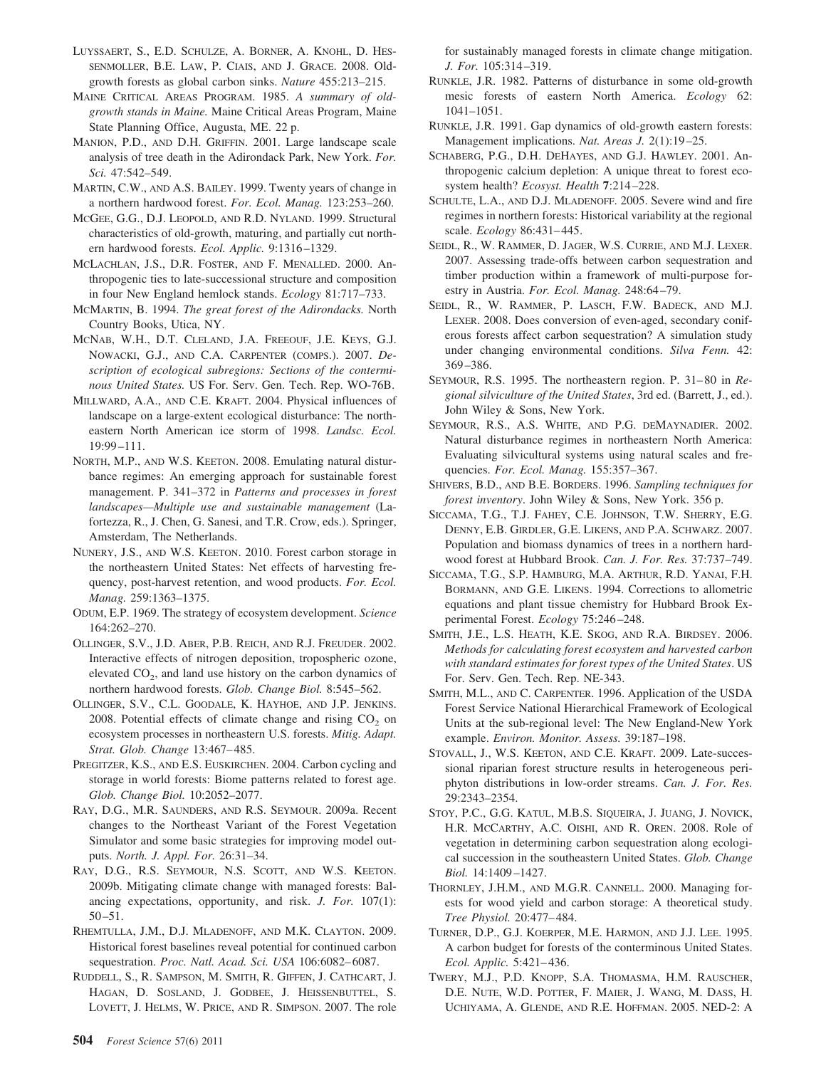- LUYSSAERT, S., E.D. SCHULZE, A. BORNER, A. KNOHL, D. HES-SENMOLLER, B.E. LAW, P. CIAIS, AND J. GRACE. 2008. Oldgrowth forests as global carbon sinks. *Nature* 455:213–215.
- MAINE CRITICAL AREAS PROGRAM. 1985. *A summary of oldgrowth stands in Maine.* Maine Critical Areas Program, Maine State Planning Office, Augusta, ME. 22 p.
- MANION, P.D., AND D.H. GRIFFIN. 2001. Large landscape scale analysis of tree death in the Adirondack Park, New York. *For. Sci.* 47:542–549.
- MARTIN, C.W., AND A.S. BAILEY. 1999. Twenty years of change in a northern hardwood forest. *For. Ecol. Manag.* 123:253–260.
- MCGEE, G.G., D.J. LEOPOLD, AND R.D. NYLAND. 1999. Structural characteristics of old-growth, maturing, and partially cut northern hardwood forests. *Ecol. Applic.* 9:1316 –1329.
- MCLACHLAN, J.S., D.R. FOSTER, AND F. MENALLED. 2000. Anthropogenic ties to late-successional structure and composition in four New England hemlock stands. *Ecology* 81:717–733.
- MCMARTIN, B. 1994. *The great forest of the Adirondacks.* North Country Books, Utica, NY.
- MCNAB, W.H., D.T. CLELAND, J.A. FREEOUF, J.E. KEYS, G.J. NOWACKI, G.J., AND C.A. CARPENTER (COMPS.). 2007. *Description of ecological subregions: Sections of the conterminous United States.* US For. Serv. Gen. Tech. Rep. WO-76B.
- MILLWARD, A.A., AND C.E. KRAFT. 2004. Physical influences of landscape on a large-extent ecological disturbance: The northeastern North American ice storm of 1998. *Landsc. Ecol.* 19:99 –111.
- NORTH, M.P., AND W.S. KEETON. 2008. Emulating natural disturbance regimes: An emerging approach for sustainable forest management. P. 341–372 in *Patterns and processes in forest landscapes—Multiple use and sustainable management* (Lafortezza, R., J. Chen, G. Sanesi, and T.R. Crow, eds.). Springer, Amsterdam, The Netherlands.
- NUNERY, J.S., AND W.S. KEETON. 2010. Forest carbon storage in the northeastern United States: Net effects of harvesting frequency, post-harvest retention, and wood products. *For. Ecol. Manag.* 259:1363–1375.
- ODUM, E.P. 1969. The strategy of ecosystem development. *Science* 164:262–270.
- OLLINGER, S.V., J.D. ABER, P.B. REICH, AND R.J. FREUDER. 2002. Interactive effects of nitrogen deposition, tropospheric ozone, elevated  $CO<sub>2</sub>$ , and land use history on the carbon dynamics of northern hardwood forests. *Glob. Change Biol.* 8:545–562.
- OLLINGER, S.V., C.L. GOODALE, K. HAYHOE, AND J.P. JENKINS. 2008. Potential effects of climate change and rising  $CO<sub>2</sub>$  on ecosystem processes in northeastern U.S. forests. *Mitig. Adapt. Strat. Glob. Change* 13:467– 485.
- PREGITZER, K.S., AND E.S. EUSKIRCHEN. 2004. Carbon cycling and storage in world forests: Biome patterns related to forest age. *Glob. Change Biol.* 10:2052–2077.
- RAY, D.G., M.R. SAUNDERS, AND R.S. SEYMOUR. 2009a. Recent changes to the Northeast Variant of the Forest Vegetation Simulator and some basic strategies for improving model outputs. *North. J. Appl. For.* 26:31–34.
- RAY, D.G., R.S. SEYMOUR, N.S. SCOTT, AND W.S. KEETON. 2009b. Mitigating climate change with managed forests: Balancing expectations, opportunity, and risk. *J. For.* 107(1): 50 –51.
- RHEMTULLA, J.M., D.J. MLADENOFF, AND M.K. CLAYTON. 2009. Historical forest baselines reveal potential for continued carbon sequestration. *Proc. Natl. Acad. Sci. USA* 106:6082– 6087.
- RUDDELL, S., R. SAMPSON, M. SMITH, R. GIFFEN, J. CATHCART, J. HAGAN, D. SOSLAND, J. GODBEE, J. HEISSENBUTTEL, S. LOVETT, J. HELMS, W. PRICE, AND R. SIMPSON. 2007. The role

for sustainably managed forests in climate change mitigation. *J. For.* 105:314 –319.

- RUNKLE, J.R. 1982. Patterns of disturbance in some old-growth mesic forests of eastern North America. *Ecology* 62: 1041–1051.
- RUNKLE, J.R. 1991. Gap dynamics of old-growth eastern forests: Management implications. *Nat. Areas J.* 2(1):19 –25.
- SCHABERG, P.G., D.H. DEHAYES, AND G.J. HAWLEY. 2001. Anthropogenic calcium depletion: A unique threat to forest ecosystem health? *Ecosyst. Health* **7**:214 –228.
- SCHULTE, L.A., AND D.J. MLADENOFF. 2005. Severe wind and fire regimes in northern forests: Historical variability at the regional scale. *Ecology* 86:431– 445.
- SEIDL, R., W. RAMMER, D. JAGER, W.S. CURRIE, AND M.J. LEXER. 2007. Assessing trade-offs between carbon sequestration and timber production within a framework of multi-purpose forestry in Austria. *For. Ecol. Manag.* 248:64 –79.
- SEIDL, R., W. RAMMER, P. LASCH, F.W. BADECK, AND M.J. LEXER. 2008. Does conversion of even-aged, secondary coniferous forests affect carbon sequestration? A simulation study under changing environmental conditions. *Silva Fenn.* 42: 369 –386.
- SEYMOUR, R.S. 1995. The northeastern region. P. 31– 80 in *Regional silviculture of the United States*, 3rd ed. (Barrett, J., ed.). John Wiley & Sons, New York.
- SEYMOUR, R.S., A.S. WHITE, AND P.G. DEMAYNADIER. 2002. Natural disturbance regimes in northeastern North America: Evaluating silvicultural systems using natural scales and frequencies. *For. Ecol. Manag.* 155:357–367.
- SHIVERS, B.D., AND B.E. BORDERS. 1996. *Sampling techniques for forest inventory*. John Wiley & Sons, New York. 356 p.
- SICCAMA, T.G., T.J. FAHEY, C.E. JOHNSON, T.W. SHERRY, E.G. DENNY, E.B. GIRDLER, G.E. LIKENS, AND P.A. SCHWARZ. 2007. Population and biomass dynamics of trees in a northern hardwood forest at Hubbard Brook. *Can. J. For. Res.* 37:737–749.
- SICCAMA, T.G., S.P. HAMBURG, M.A. ARTHUR, R.D. YANAI, F.H. BORMANN, AND G.E. LIKENS. 1994. Corrections to allometric equations and plant tissue chemistry for Hubbard Brook Experimental Forest. *Ecology* 75:246 –248.
- SMITH, J.E., L.S. HEATH, K.E. SKOG, AND R.A. BIRDSEY. 2006. *Methods for calculating forest ecosystem and harvested carbon with standard estimates for forest types of the United States*. US For. Serv. Gen. Tech. Rep. NE-343.
- SMITH, M.L., AND C. CARPENTER. 1996. Application of the USDA Forest Service National Hierarchical Framework of Ecological Units at the sub-regional level: The New England-New York example. *Environ. Monitor. Assess.* 39:187–198.
- STOVALL, J., W.S. KEETON, AND C.E. KRAFT. 2009. Late-successional riparian forest structure results in heterogeneous periphyton distributions in low-order streams. *Can. J. For. Res.* 29:2343–2354.
- STOY, P.C., G.G. KATUL, M.B.S. SIQUEIRA, J. JUANG, J. NOVICK, H.R. MCCARTHY, A.C. OISHI, AND R. OREN. 2008. Role of vegetation in determining carbon sequestration along ecological succession in the southeastern United States. *Glob. Change Biol.* 14:1409 –1427.
- THORNLEY, J.H.M., AND M.G.R. CANNELL. 2000. Managing forests for wood yield and carbon storage: A theoretical study. *Tree Physiol.* 20:477– 484.
- TURNER, D.P., G.J. KOERPER, M.E. HARMON, AND J.J. LEE. 1995. A carbon budget for forests of the conterminous United States. *Ecol. Applic.* 5:421– 436.
- TWERY, M.J., P.D. KNOPP, S.A. THOMASMA, H.M. RAUSCHER, D.E. NUTE, W.D. POTTER, F. MAIER, J. WANG, M. DASS, H. UCHIYAMA, A. GLENDE, AND R.E. HOFFMAN. 2005. NED-2: A